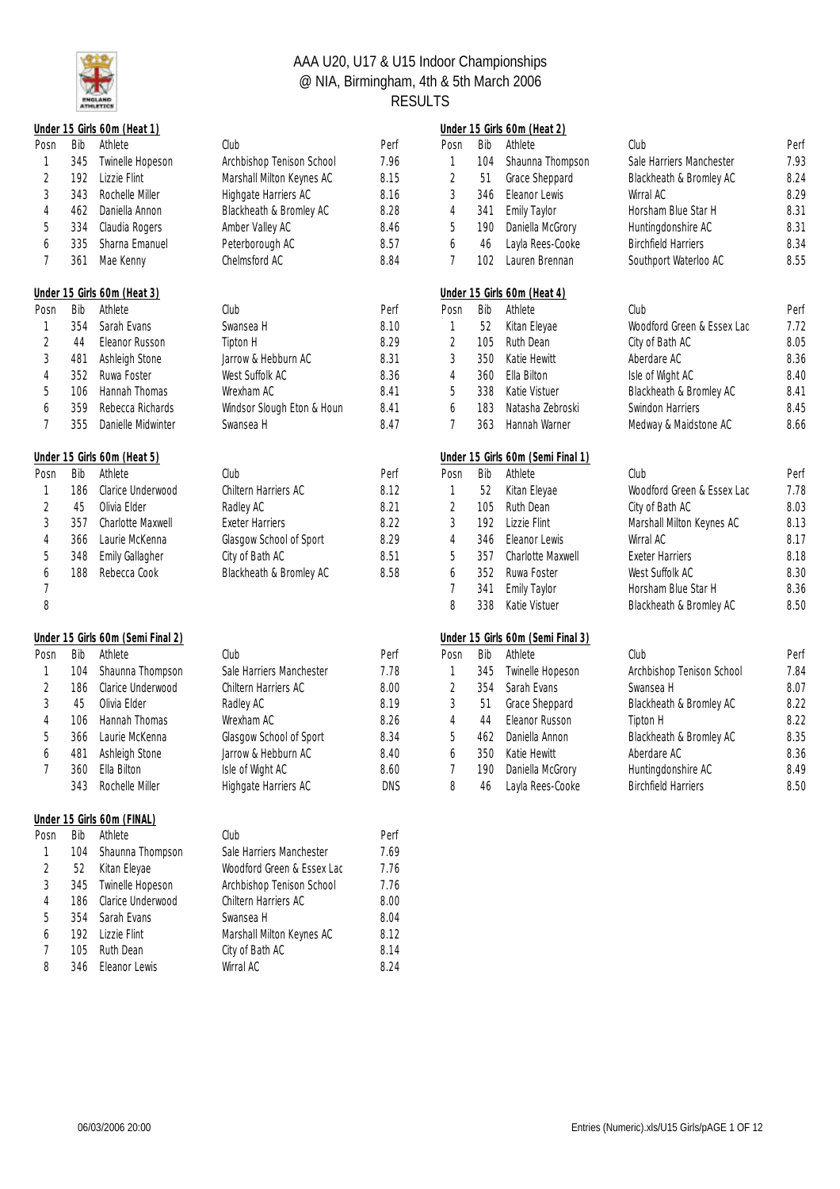

|                |     | Under 15 Girls 60m (Heat 1)       |                            |      |                |     | Under 15 Girls 60m (Heat 2)       |                            |      |
|----------------|-----|-----------------------------------|----------------------------|------|----------------|-----|-----------------------------------|----------------------------|------|
| Posn           | Bib | Athlete                           | Club                       | Perf | Posn           | Bib | Athlete                           | Club                       | Perf |
| 1              | 345 | Twinelle Hopeson                  | Archbishop Tenison School  | 7.96 | 1              | 104 | Shaunna Thompson                  | Sale Harriers Manchester   | 7.93 |
| $\sqrt{2}$     | 192 | Lizzie Flint                      | Marshall Milton Keynes AC  | 8.15 | 2              | 51  | Grace Sheppard                    | Blackheath & Bromley AC    | 8.24 |
| 3              | 343 | Rochelle Miller                   | Highgate Harriers AC       | 8.16 | 3              | 346 | Eleanor Lewis                     | Wirral AC                  | 8.29 |
| $\overline{4}$ | 462 | Daniella Annon                    | Blackheath & Bromley AC    | 8.28 | 4              | 341 | <b>Emily Taylor</b>               | Horsham Blue Star H        | 8.31 |
| 5              | 334 | Claudia Rogers                    | Amber Valley AC            | 8.46 | 5              | 190 | Daniella McGrory                  | Huntingdonshire AC         | 8.31 |
| 6              | 335 | Sharna Emanuel                    | Peterborough AC            | 8.57 | 6              | 46  | Layla Rees-Cooke                  | <b>Birchfield Harriers</b> | 8.34 |
| 7              | 361 | Mae Kenny                         | Chelmsford AC              | 8.84 | 7              | 102 | Lauren Brennan                    | Southport Waterloo AC      | 8.55 |
|                |     | Under 15 Girls 60m (Heat 3)       |                            |      |                |     | Under 15 Girls 60m (Heat 4)       |                            |      |
| Posn           | Bib | Athlete                           | Club                       | Perf | Posn           | Bib | Athlete                           | Club                       | Perf |
| 1              | 354 | Sarah Evans                       | Swansea H                  | 8.10 | 1              | 52  | Kitan Eleyae                      | Woodford Green & Essex Lac | 7.72 |
| $\overline{2}$ | 44  | Eleanor Russon                    | Tipton H                   | 8.29 | $\sqrt{2}$     | 105 | Ruth Dean                         | City of Bath AC            | 8.05 |
| 3              | 481 | Ashleigh Stone                    | Jarrow & Hebburn AC        | 8.31 | 3              | 350 | Katie Hewitt                      | Aberdare AC                | 8.36 |
| 4              | 352 | Ruwa Foster                       | West Suffolk AC            | 8.36 | $\overline{4}$ | 360 | Ella Bilton                       | Isle of Wight AC           | 8.40 |
| 5              | 106 | Hannah Thomas                     | Wrexham AC                 | 8.41 | 5              | 338 | Katie Vistuer                     | Blackheath & Bromley AC    | 8.41 |
| 6              | 359 | Rebecca Richards                  | Windsor Slough Eton & Houn | 8.41 | 6              | 183 | Natasha Zebroski                  | Swindon Harriers           | 8.45 |
| 7              | 355 | Danielle Midwinter                | Swansea H                  | 8.47 | 7              | 363 | Hannah Warner                     | Medway & Maidstone AC      | 8.66 |
|                |     | Under 15 Girls 60m (Heat 5)       |                            |      |                |     | Under 15 Girls 60m (Semi Final 1) |                            |      |
| Posn           | Bib | Athlete                           | Club                       | Perf | Posn           | Bib | Athlete                           | Club                       | Perf |
| 1              | 186 | Clarice Underwood                 | Chiltern Harriers AC       | 8.12 | $\mathbf{1}$   | 52  | Kitan Eleyae                      | Woodford Green & Essex Lac | 7.78 |
| $\overline{2}$ | 45  | Olivia Elder                      | Radley AC                  | 8.21 | $\overline{2}$ | 105 | Ruth Dean                         | City of Bath AC            | 8.03 |
| 3              | 357 | <b>Charlotte Maxwell</b>          | <b>Exeter Harriers</b>     | 8.22 | 3              | 192 | Lizzie Flint                      | Marshall Milton Keynes AC  | 8.13 |
| $\overline{4}$ | 366 | Laurie McKenna                    | Glasgow School of Sport    | 8.29 | 4              | 346 | Eleanor Lewis                     | Wirral AC                  | 8.17 |
| 5              | 348 | <b>Emily Gallagher</b>            | City of Bath AC            | 8.51 | 5              | 357 | Charlotte Maxwell                 | <b>Exeter Harriers</b>     | 8.18 |
| 6              | 188 | Rebecca Cook                      | Blackheath & Bromley AC    | 8.58 | 6              | 352 | Ruwa Foster                       | West Suffolk AC            | 8.30 |
| 7              |     |                                   |                            |      | 7              | 341 | <b>Emily Taylor</b>               | Horsham Blue Star H        | 8.36 |
| 8              |     |                                   |                            |      | 8              | 338 | Katie Vistuer                     | Blackheath & Bromley AC    | 8.50 |
|                |     | Under 15 Girls 60m (Semi Final 2) |                            |      |                |     | Under 15 Girls 60m (Semi Final 3) |                            |      |
| Posn           | Bib | Athlete                           | Club                       | Perf | Posn           | Bib | Athlete                           | Club                       | Perf |
| 1              | 104 | Shaunna Thompson                  | Sale Harriers Manchester   | 7.78 | 1              | 345 | Twinelle Hopeson                  | Archbishop Tenison School  | 7.84 |
| $\overline{2}$ | 186 | Clarice Underwood                 | Chiltern Harriers AC       | 8.00 | 2              | 354 | Sarah Evans                       | Swansea H                  | 8.07 |
| 3              | 45  | Olivia Elder                      | Radley AC                  | 8.19 | 3              | 51  | Grace Sheppard                    | Blackheath & Bromley AC    | 8.22 |
| 4              | 106 | Hannah Thomas                     | Wrexham AC                 | 8.26 | $\overline{4}$ | 44  | Eleanor Russon                    | Tipton H                   | 8.22 |
| 5              | 366 | Laurie McKenna                    | Glasgow School of Sport    | 8.34 | 5              | 462 | Daniella Annon                    | Blackheath & Bromley AC    | 8.35 |
| 6              | 481 | Ashleigh Stone                    | Jarrow & Hebburn AC        | 8.40 | 6              | 350 | Katie Hewitt                      | Aberdare AC                | 8.36 |
| 7              | 360 | Ella Bilton                       | Isle of Wight AC           | 8.60 | 7              | 190 | Daniella McGrory                  | Huntingdonshire AC         | 8.49 |
|                | 343 | Rochelle Miller                   | Highgate Harriers AC       | DNS  | 8              | 46  | Layla Rees-Cooke                  | <b>Birchfield Harriers</b> | 8.50 |
|                |     | Under 15 Girls 60m (FINAL)        |                            |      |                |     |                                   |                            |      |
| Posn           | Bib | Athlete                           | Club                       | Perf |                |     |                                   |                            |      |
| 1              | 104 | Shaunna Thompson                  | Sale Harriers Manchester   | 7.69 |                |     |                                   |                            |      |
| $\overline{2}$ | 52  | Kitan Eleyae                      | Woodford Green & Essex Lac | 7.76 |                |     |                                   |                            |      |
| 3              | 345 | Twinelle Hopeson                  | Archbishop Tenison School  | 7.76 |                |     |                                   |                            |      |
| 4              | 186 | Clarice Underwood                 | Chiltern Harriers AC       | 8.00 |                |     |                                   |                            |      |
| 5              | 354 | Sarah Evans                       | Swansea H                  | 8.04 |                |     |                                   |                            |      |
| 6              | 192 | Lizzie Flint                      | Marshall Milton Keynes AC  | 8.12 |                |     |                                   |                            |      |
| 7              | 105 | Ruth Dean                         | City of Bath AC            | 8.14 |                |     |                                   |                            |      |
| 8              | 346 | Eleanor Lewis                     | Wirral AC                  | 8.24 |                |     |                                   |                            |      |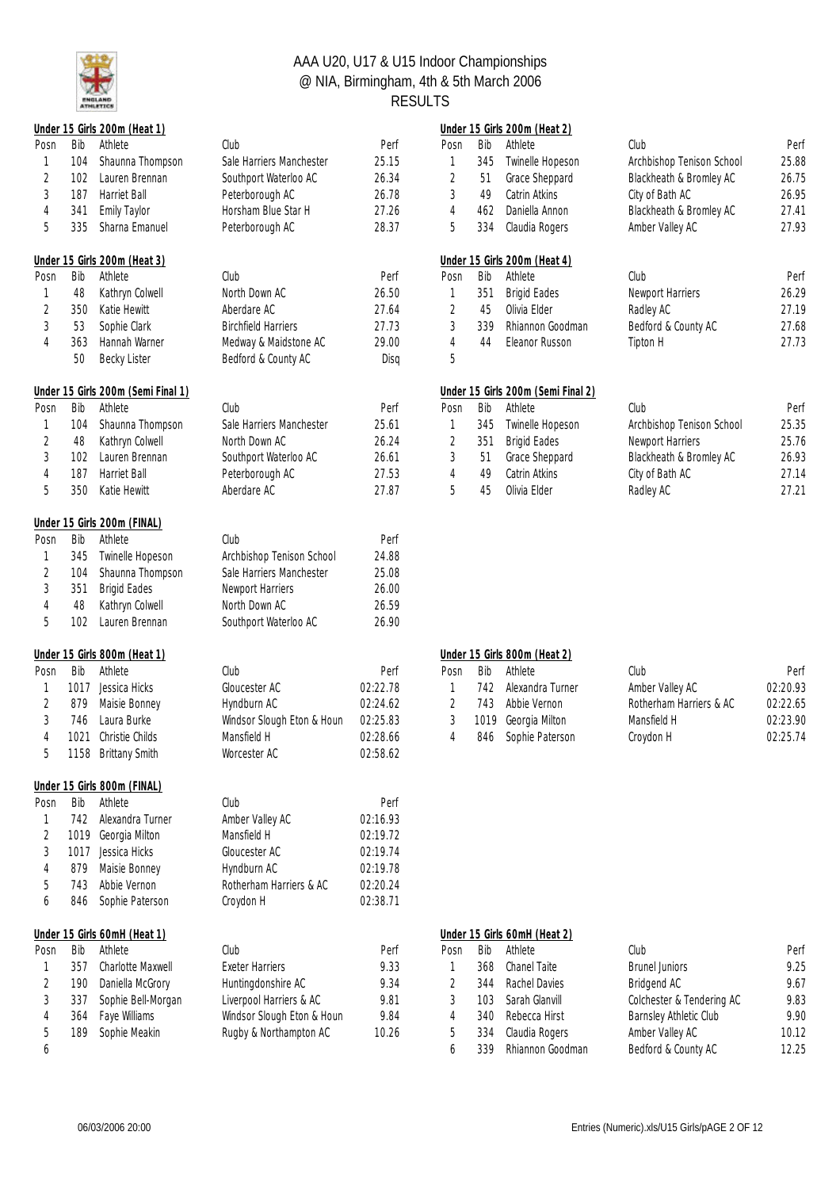

|                |      | Under 15 Girls 200m (Heat 1)       |                            |          |                |      | Under 15 Girls 200m (Heat 2)       |                           |                     |
|----------------|------|------------------------------------|----------------------------|----------|----------------|------|------------------------------------|---------------------------|---------------------|
| Posn           | Bib  | Athlete                            | Club                       | Perf     | Posn           | Bib  | Athlete                            | Club                      | Peri                |
| 1              | 104  | Shaunna Thompson                   | Sale Harriers Manchester   | 25.15    | 1              | 345  | Twinelle Hopeson                   | Archbishop Tenison School | 25.88               |
| 2              | 102  | Lauren Brennan                     | Southport Waterloo AC      | 26.34    | 2              | 51   | Grace Sheppard                     | Blackheath & Bromley AC   | 26.75               |
| 3              | 187  | Harriet Ball                       | Peterborough AC            | 26.78    | 3              | 49   | Catrin Atkins                      | City of Bath AC           | 26.95               |
| $\overline{4}$ | 341  | <b>Emily Taylor</b>                | Horsham Blue Star H        | 27.26    | 4              | 462  | Daniella Annon                     | Blackheath & Bromley AC   | $27.4$ <sup>*</sup> |
| 5              | 335  | Sharna Emanuel                     | Peterborough AC            | 28.37    | 5              | 334  | Claudia Rogers                     | Amber Valley AC           | 27.93               |
|                |      | Under 15 Girls 200m (Heat 3)       |                            |          |                |      | Under 15 Girls 200m (Heat 4)       |                           |                     |
| Posn           | Bib  | Athlete                            | Club                       | Perf     | Posn           | Bib  | Athlete                            | Club                      | Peri                |
| 1              | 48   | Kathryn Colwell                    | North Down AC              | 26.50    | 1              | 351  | <b>Brigid Eades</b>                | Newport Harriers          | 26.29               |
| 2              | 350  | Katie Hewitt                       | Aberdare AC                | 27.64    | 2              | 45   | Olivia Elder                       | Radley AC                 | 27.19               |
| 3              | 53   | Sophie Clark                       | <b>Birchfield Harriers</b> | 27.73    | $\sqrt{3}$     | 339  | Rhiannon Goodman                   | Bedford & County AC       | 27.68               |
| $\overline{4}$ | 363  | Hannah Warner                      | Medway & Maidstone AC      | 29.00    | $\overline{4}$ | 44   | Eleanor Russon                     | Tipton H                  | 27.73               |
|                | 50   | <b>Becky Lister</b>                | Bedford & County AC        | Disq     | 5              |      |                                    |                           |                     |
|                |      | Under 15 Girls 200m (Semi Final 1) |                            |          |                |      | Under 15 Girls 200m (Semi Final 2) |                           |                     |
| Posn           | Bib  | Athlete                            | Club                       | Perf     | Posn           | Bib  | Athlete                            | Club                      | Peri                |
| 1              | 104  | Shaunna Thompson                   | Sale Harriers Manchester   | 25.61    | 1              | 345  | Twinelle Hopeson                   | Archbishop Tenison School | 25.35               |
| 2              | 48   | Kathryn Colwell                    | North Down AC              | 26.24    | 2              | 351  | <b>Brigid Eades</b>                | Newport Harriers          | 25.76               |
| 3              | 102  | Lauren Brennan                     | Southport Waterloo AC      | 26.61    | 3              | 51   | Grace Sheppard                     | Blackheath & Bromley AC   | 26.93               |
| $\overline{4}$ | 187  | Harriet Ball                       | Peterborough AC            | 27.53    | $\overline{4}$ | 49   | Catrin Atkins                      | City of Bath AC           | 27.14               |
| 5              | 350  | Katie Hewitt                       | Aberdare AC                | 27.87    | 5              | 45   | Olivia Elder                       | Radley AC                 | $27.2^{4}$          |
|                |      | Under 15 Girls 200m (FINAL)        |                            |          |                |      |                                    |                           |                     |
| Posn           | Bib  | Athlete                            | Club                       | Perf     |                |      |                                    |                           |                     |
| 1              | 345  | Twinelle Hopeson                   | Archbishop Tenison School  | 24.88    |                |      |                                    |                           |                     |
| 2              | 104  | Shaunna Thompson                   | Sale Harriers Manchester   | 25.08    |                |      |                                    |                           |                     |
| $\sqrt{3}$     | 351  | <b>Brigid Eades</b>                | Newport Harriers           | 26.00    |                |      |                                    |                           |                     |
| 4              | 48   | Kathryn Colwell                    | North Down AC              | 26.59    |                |      |                                    |                           |                     |
| 5              | 102  | Lauren Brennan                     | Southport Waterloo AC      | 26.90    |                |      |                                    |                           |                     |
|                |      | Under 15 Girls 800m (Heat 1)       |                            |          |                |      | Under 15 Girls 800m (Heat 2)       |                           |                     |
| Posn           | Bib  | Athlete                            | Club                       | Perf     | Posn           | Bib  | Athlete                            | Club                      | Peri                |
| 1              |      | 1017 Jessica Hicks                 | Gloucester AC              | 02:22.78 | 1              | 742  | Alexandra Turner                   | Amber Valley AC           | 02:20.93            |
| 2              | 879  | Maisie Bonney                      | Hyndburn AC                | 02:24.62 | $\overline{2}$ | 743  | Abbie Vernon                       | Rotherham Harriers & AC   | 02:22.65            |
| 3              | 746  | Laura Burke                        | Windsor Slough Eton & Houn | 02:25.83 | 3              | 1019 | Georgia Milton                     | Mansfield H               | 02:23.90            |
| $\overline{4}$ | 1021 | Christie Childs                    | Mansfield H                | 02:28.66 | 4              | 846  | Sophie Paterson                    | Croydon H                 | 02:25.74            |
| 5              |      | 1158 Brittany Smith                | Worcester AC               | 02:58.62 |                |      |                                    |                           |                     |
|                |      | Under 15 Girls 800m (FINAL)        |                            |          |                |      |                                    |                           |                     |
| Posn           | Bib  | Athlete                            | Club                       | Perf     |                |      |                                    |                           |                     |
| 1              | 742  | Alexandra Turner                   | Amber Valley AC            | 02:16.93 |                |      |                                    |                           |                     |
| 2              | 1019 | Georgia Milton                     | Mansfield H                | 02:19.72 |                |      |                                    |                           |                     |
| 3              | 1017 | Jessica Hicks                      | Gloucester AC              | 02:19.74 |                |      |                                    |                           |                     |
| 4              | 879  | Maisie Bonney                      | Hyndburn AC                | 02:19.78 |                |      |                                    |                           |                     |
| 5              | 743  | Abbie Vernon                       | Rotherham Harriers & AC    | 02:20.24 |                |      |                                    |                           |                     |
| 6              | 846  | Sophie Paterson                    | Croydon H                  | 02:38.71 |                |      |                                    |                           |                     |
|                |      | Under 15 Girls 60mH (Heat 1)       |                            |          |                |      | Under 15 Girls 60mH (Heat 2)       |                           |                     |
| Posn           | Bib  | Athlete                            | Club                       | Perf     | Posn           | Bib  | Athlete                            | Club                      | Peri                |
| 1              | 357  | Charlotte Maxwell                  | <b>Exeter Harriers</b>     | 9.33     | 1              | 368  | Chanel Taite                       | <b>Brunel Juniors</b>     | 9.25                |
| 2              | 190  | Daniella McGrory                   | Huntingdonshire AC         | 9.34     | $\overline{2}$ | 344  | Rachel Davies                      | Bridgend AC               | 9.67                |
| 3              | 337  | Sophie Bell-Morgan                 | Liverpool Harriers & AC    | 9.81     | 3              | 103  | Sarah Glanvill                     | Colchester & Tendering AC | 9.83                |
| 4              | 364  | Faye Williams                      | Windsor Slough Eton & Houn | 9.84     | 4              | 340  | Rebecca Hirst                      | Barnsley Athletic Club    | 9.90                |
| 5              | 189  | Sophie Meakin                      | Rugby & Northampton AC     | 10.26    | 5              | 334  | Claudia Rogers                     | Amber Valley AC           | 10.12               |
| 6              |      |                                    |                            |          | 6              | 339  | Rhiannon Goodman                   | Bedford & County AC       | 12.25               |

|      |     | Under 15 Girls 200m (Heat 1)       |                            |       |      |     | Under 15 Girls 200m (Heat 2)       |                           |       |
|------|-----|------------------------------------|----------------------------|-------|------|-----|------------------------------------|---------------------------|-------|
| Posn | Bib | Athlete                            | Club                       | Perf  | Posn | Bib | Athlete                            | Club                      | Perf  |
|      | 104 | Shaunna Thompson                   | Sale Harriers Manchester   | 25.15 |      | 345 | Twinelle Hopeson                   | Archbishop Tenison School | 25.88 |
|      | 102 | Lauren Brennan                     | Southport Waterloo AC      | 26.34 |      | 51  | Grace Sheppard                     | Blackheath & Bromley AC   | 26.75 |
|      | 187 | Harriet Ball                       | Peterborough AC            | 26.78 |      | 49  | Catrin Atkins                      | City of Bath AC           | 26.95 |
| 4    | 341 | <b>Emily Taylor</b>                | Horsham Blue Star H        | 27.26 | 4    | 462 | Daniella Annon                     | Blackheath & Bromley AC   | 27.41 |
| 5.   | 335 | Sharna Emanuel                     | Peterborough AC            | 28.37 | 5    | 334 | Claudia Rogers                     | Amber Valley AC           | 27.93 |
|      |     | Under 15 Girls 200m (Heat 3)       |                            |       |      |     | Under 15 Girls 200m (Heat 4)       |                           |       |
| Posn | Bib | Athlete                            | Club                       | Perf  | Posn | Bib | Athlete                            | Club                      | Perf  |
|      | 48  | Kathryn Colwell                    | North Down AC              | 26.50 |      | 351 | <b>Brigid Eades</b>                | Newport Harriers          | 26.29 |
|      | 350 | Katie Hewitt                       | Aberdare AC                | 27.64 |      | 45  | Olivia Flder                       | Radley AC                 | 27.19 |
| 3    | 53  | Sophie Clark                       | <b>Birchfield Harriers</b> | 27.73 |      | 339 | Rhiannon Goodman                   | Bedford & County AC       | 27.68 |
| 4    | 363 | Hannah Warner                      | Medway & Maidstone AC      | 29.00 | 4    | 44  | Eleanor Russon                     | Tipton H                  | 27.73 |
|      | 50  | <b>Becky Lister</b>                | Bedford & County AC        | Disa  | 5    |     |                                    |                           |       |
|      |     | Under 15 Girls 200m (Semi Final 1) |                            |       |      |     | Under 15 Girls 200m (Semi Final 2) |                           |       |
|      |     |                                    |                            |       |      |     |                                    |                           |       |

| Sale Harriers Manchester<br>Archbishop Tenison School<br>104 Shaunna Thompson<br>Twinelle Hopeson<br>25.61<br>345<br>48 Kathryn Colwell<br>North Down AC<br>26.24<br>Brigid Eades<br>Newport Harriers<br>351<br>Southport Waterloo AC<br>Blackheath & Bromley AC<br>Grace Sheppard<br>102 <sub>1</sub><br>Lauren Brennan<br>26.61<br>-51<br>Peterborough AC<br>Harriet Ball<br>27.53<br>Catrin Atkins<br>City of Bath AC<br>187<br>49<br>Katie Hewitt<br>Aberdare AC<br>27.87<br>Olivia Flder<br>Radley AC<br>350<br>45 | ารท | Bib | Athlete | Club | Pert | Posn | Bib. | Athlete | Club | Pert  |
|-------------------------------------------------------------------------------------------------------------------------------------------------------------------------------------------------------------------------------------------------------------------------------------------------------------------------------------------------------------------------------------------------------------------------------------------------------------------------------------------------------------------------|-----|-----|---------|------|------|------|------|---------|------|-------|
|                                                                                                                                                                                                                                                                                                                                                                                                                                                                                                                         |     |     |         |      |      |      |      |         |      | 25.35 |
|                                                                                                                                                                                                                                                                                                                                                                                                                                                                                                                         |     |     |         |      |      |      |      |         |      | 25.76 |
|                                                                                                                                                                                                                                                                                                                                                                                                                                                                                                                         |     |     |         |      |      |      |      |         |      | 26.93 |
|                                                                                                                                                                                                                                                                                                                                                                                                                                                                                                                         |     |     |         |      |      |      |      |         |      | 27.14 |
|                                                                                                                                                                                                                                                                                                                                                                                                                                                                                                                         |     |     |         |      |      |      |      |         |      | 27.21 |

#### **Under 15 Girls 800m (Heat 1) Under 15 Girls 800m (Heat 2)**

| Posn Bib | Athlete              | Club                       | Perf     | Posn | Bib Athlete           | Club                    | Perf     |
|----------|----------------------|----------------------------|----------|------|-----------------------|-------------------------|----------|
|          | 1017 Jessica Hicks   | Gloucester AC              | 02:22.78 |      | 742 Alexandra Turner  | Amber Valley AC         | 02:20.93 |
|          | 879 Maisie Bonney    | Hvndburn AC                | 02:24.62 |      | 743 Abbie Vernon      | Rotherham Harriers & AC | 02:22.65 |
|          | 746 Laura Burke      | Windsor Slough Eton & Houn | 02:25.83 |      | 3 1019 Georgia Milton | Mansfield H             | 02:23.90 |
|          | 1021 Christie Childs | Mansfield H                | 02:28.66 |      | 846 Sophie Paterson   | Croydon H               | 02:25.74 |

|      |     | Under 15 Girls 60mH (Heat 1) |                            |       | Under 15 Girls 60mH (Heat 2) |      |                  |                           |       |
|------|-----|------------------------------|----------------------------|-------|------------------------------|------|------------------|---------------------------|-------|
| Posn | Bib | Athlete                      | Club                       | Perf  | Posn                         | Bib  | Athlete          | Club                      | Perf  |
|      | 357 | <b>Charlotte Maxwell</b>     | Exeter Harriers            | 9.33  |                              | 368  | Chanel Taite     | <b>Brunel Juniors</b>     | 9.25  |
|      | 190 | Daniella McGrory             | Huntingdonshire AC         | 9.34  |                              | 344  | Rachel Davies    | Bridgend AC               | 9.67  |
|      | 337 | Sophie Bell-Morgan           | Liverpool Harriers & AC    | 9.81  |                              | 103. | Sarah Glanvill   | Colchester & Tendering AC | 9.83  |
|      | 364 | Faye Williams                | Windsor Slough Eton & Houn | 9.84  |                              | 340  | Rebecca Hirst    | Barnsley Athletic Club    | 9.90  |
|      | 189 | Sophie Meakin                | Rugby & Northampton AC     | 10.26 | h                            | 334  | Claudia Rogers   | Amber Valley AC           | 10.12 |
|      |     |                              |                            |       |                              | 339  | Rhiannon Goodman | Bedford & County AC       | 12.25 |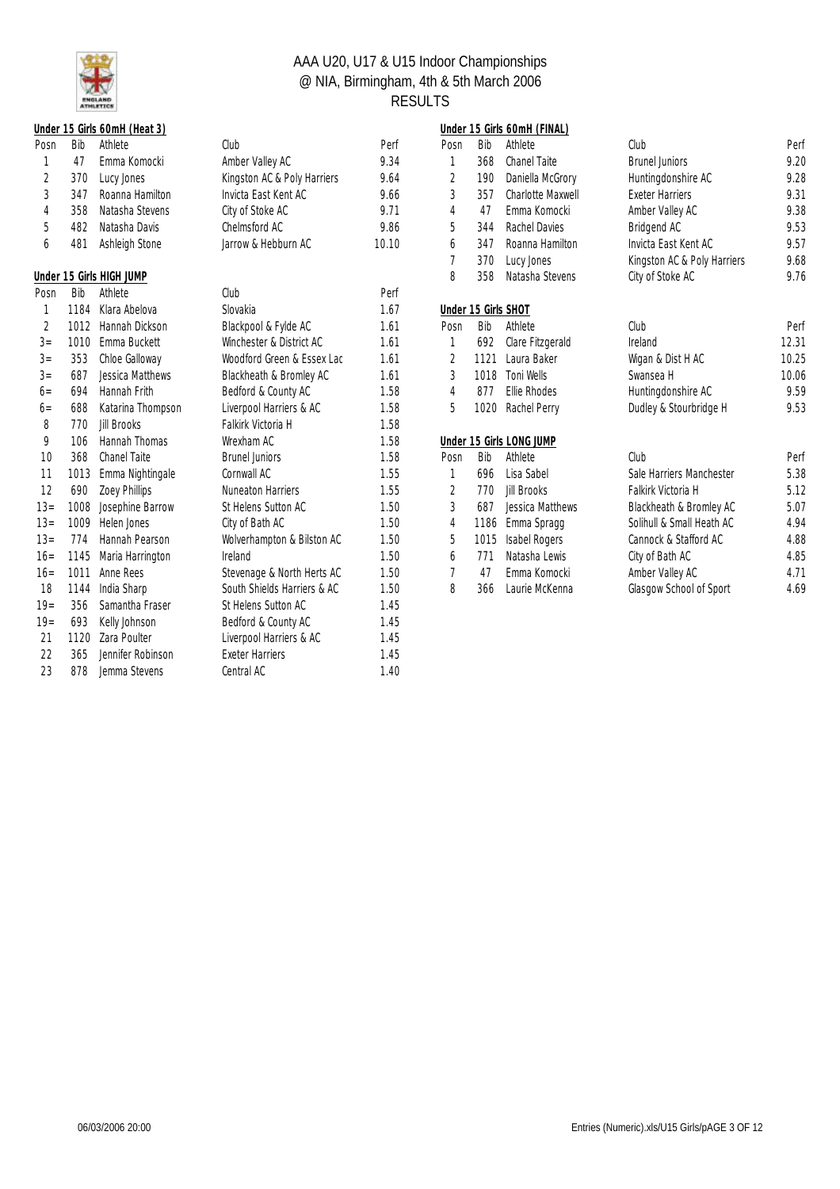

|                |      | Under 15 Girls 60mH (Heat 3) |                             |       |                |                     | Under 15 Girls 60mH (FINAL) |
|----------------|------|------------------------------|-----------------------------|-------|----------------|---------------------|-----------------------------|
| Posn           | Bib  | Athlete                      | Club                        | Perf  | Posn           | Bib                 | Athlete                     |
| 1              | 47   | Emma Komocki                 | Amber Valley AC             | 9.34  | 1              | 368                 | Chanel Taite                |
| $\overline{2}$ | 370  | Lucy Jones                   | Kingston AC & Poly Harriers | 9.64  | $\overline{2}$ | 190                 | Daniella McGro              |
| 3              | 347  | Roanna Hamilton              | Invicta East Kent AC        | 9.66  | 3              | 357                 | Charlotte Maxw              |
| 4              | 358  | Natasha Stevens              | City of Stoke AC            | 9.71  | 4              | 47                  | Emma Komock                 |
| 5              | 482  | Natasha Davis                | Chelmsford AC               | 9.86  | 5              | 344                 | Rachel Davies               |
| 6              | 481  | Ashleigh Stone               | Jarrow & Hebburn AC         | 10.10 | 6              | 347                 | Roanna Hamilto              |
|                |      |                              |                             |       | 7              | 370                 | Lucy Jones                  |
|                |      | Under 15 Girls HIGH JUMP     |                             |       | 8              | 358                 | Natasha Stever              |
| Posn           | Bib  | Athlete                      | Club                        | Perf  |                |                     |                             |
| 1              | 1184 | Klara Abelova                | Slovakia                    | 1.67  |                | Under 15 Girls SHOT |                             |
| $\overline{2}$ | 1012 | Hannah Dickson               | Blackpool & Fylde AC        | 1.61  | Posn           | Bib                 | Athlete                     |
| $3=$           | 1010 | Emma Buckett                 | Winchester & District AC    | 1.61  | 1              | 692                 | Clare Fitzgerald            |
| $3=$           | 353  | Chloe Galloway               | Woodford Green & Essex Lac  | 1.61  | $\overline{2}$ | 1121                | Laura Baker                 |
| $3=$           | 687  | Jessica Matthews             | Blackheath & Bromley AC     | 1.61  | 3              | 1018                | Toni Wells                  |
| $6 =$          | 694  | Hannah Frith                 | Bedford & County AC         | 1.58  | 4              | 877                 | Ellie Rhodes                |
| $6=$           | 688  | Katarina Thompson            | Liverpool Harriers & AC     | 1.58  | 5              | 1020                | Rachel Perry                |
| 8              | 770  | <b>Jill Brooks</b>           | Falkirk Victoria H          | 1.58  |                |                     |                             |
| 9              | 106  | Hannah Thomas                | Wrexham AC                  | 1.58  |                |                     | Under 15 Girls LONG JUMP    |
| 10             | 368  | <b>Chanel Taite</b>          | <b>Brunel Juniors</b>       | 1.58  | Posn           | Bib                 | Athlete                     |
| 11             | 1013 | Emma Nightingale             | Cornwall AC                 | 1.55  | 1              | 696                 | Lisa Sabel                  |
| 12             | 690  | Zoey Phillips                | <b>Nuneaton Harriers</b>    | 1.55  | $\mathfrak{D}$ | 770                 | <b>Jill Brooks</b>          |
| $13=$          | 1008 | Josephine Barrow             | St Helens Sutton AC         | 1.50  | 3              | 687                 | Jessica Matthey             |
| $13=$          | 1009 | Helen Jones                  | City of Bath AC             | 1.50  | 4              | 1186                | Emma Spragg                 |
| $13=$          | 774  | Hannah Pearson               | Wolverhampton & Bilston AC  | 1.50  | 5              | 1015                | Isabel Rogers               |
| $16=$          | 1145 | Maria Harrington             | Ireland                     | 1.50  | 6              | 771                 | Natasha Lewis               |
| $16=$          | 1011 | Anne Rees                    | Stevenage & North Herts AC  | 1.50  | 7              | 47                  | Emma Komock                 |
| 18             | 1144 | India Sharp                  | South Shields Harriers & AC | 1.50  | 8              | 366                 | Laurie McKenn               |
| $19=$          | 356  | Samantha Fraser              | St Helens Sutton AC         | 1.45  |                |                     |                             |
| $19 =$         | 693  | Kelly Johnson                | Bedford & County AC         | 1.45  |                |                     |                             |
| 21             | 1120 | Zara Poulter                 | Liverpool Harriers & AC     | 1.45  |                |                     |                             |
| 22             | 365  | Jennifer Robinson            | <b>Exeter Harriers</b>      | 1.45  |                |                     |                             |
| 23             | 878  | Jemma Stevens                | Central AC                  | 1.40  |                |                     |                             |

|       |      | Under 15 Girls 60mH (Heat 3) |                             |       |                     |      | Under 15 Girls 60mH (FINAL) |                             |       |
|-------|------|------------------------------|-----------------------------|-------|---------------------|------|-----------------------------|-----------------------------|-------|
| Posn  | Bib  | Athlete                      | Club                        | Perf  | Posn                | Bib  | Athlete                     | Club                        | Perf  |
|       | 47   | Emma Komocki                 | Amber Valley AC             | 9.34  | 1                   | 368  | <b>Chanel Taite</b>         | <b>Brunel Juniors</b>       | 9.20  |
| 2     | 370  | Lucy Jones                   | Kingston AC & Poly Harriers | 9.64  | $\overline{2}$      | 190  | Daniella McGrory            | Huntingdonshire AC          | 9.28  |
| 3     | 347  | Roanna Hamilton              | Invicta Fast Kent AC        | 9.66  | 3                   | 357  | Charlotte Maxwell           | <b>Fxeter Harriers</b>      | 9.31  |
| 4     | 358  | Natasha Stevens              | City of Stoke AC            | 9.71  | 4                   | 47   | Emma Komocki                | Amber Valley AC             | 9.38  |
| 5     | 482  | Natasha Davis                | Chelmsford AC               | 9.86  | 5                   | 344  | Rachel Davies               | Bridgend AC                 | 9.53  |
| 6     | 481  | Ashleigh Stone               | Jarrow & Hebburn AC         | 10.10 | 6                   | 347  | Roanna Hamilton             | Invicta East Kent AC        | 9.57  |
|       |      |                              |                             |       | 7                   | 370  | Lucy Jones                  | Kingston AC & Poly Harriers | 9.68  |
|       |      | Under 15 Girls HIGH JUMP     |                             |       | 8                   | 358  | Natasha Stevens             | City of Stoke AC            | 9.76  |
| Posn  | Bib  | Athlete                      | Club                        | Perf  |                     |      |                             |                             |       |
|       | 1184 | Klara Abelova                | Slovakia                    | 1.67  | Under 15 Girls SHOT |      |                             |                             |       |
| 2     | 1012 | Hannah Dickson               | Blackpool & Fylde AC        | 1.61  | Posn                | Bib  | Athlete                     | Club                        | Perf  |
| $3=$  | 1010 | Emma Buckett                 | Winchester & District AC    | 1.61  | 1                   | 692  | Clare Fitzgerald            | Ireland                     | 12.31 |
| $3=$  | 353  | Chloe Galloway               | Woodford Green & Essex Lac  | 1.61  | 2                   | 1121 | Laura Baker                 | Wigan & Dist H AC           | 10.25 |
| $3 =$ | 687  | <b>Jessica Matthews</b>      | Blackheath & Bromley AC     | 1.61  | $\mathfrak{Z}$      | 1018 | Toni Wells                  | Swansea H                   | 10.06 |
| $6=$  | 694  | Hannah Frith                 | Bedford & County AC         | 1.58  | 4                   | 877  | Ellie Rhodes                | Huntingdonshire AC          | 9.59  |
| $6 =$ | 688  | Katarina Thompson            | Liverpool Harriers & AC     | 1.58  | 5                   | 1020 | Rachel Perry                | Dudley & Stourbridge H      | 9.53  |
| 8     | 770  | Jill Brooks                  | Falkirk Victoria H          | 1.58  |                     |      |                             |                             |       |
| 9     | 106  | Hannah Thomas                | Wrexham AC                  | 1.58  |                     |      | Under 15 Girls LONG JUMP    |                             |       |
| 10    | 368  | <b>Chanel Taite</b>          | <b>Brunel Juniors</b>       | 1.58  | Posn                | Bib  | Athlete                     | Club                        | Perf  |
| 11    | 1013 | Emma Nightingale             | Cornwall AC                 | 1.55  | 1                   | 696  | Lisa Sabel                  | Sale Harriers Manchester    | 5.38  |
| 12    | 690  | Zoey Phillips                | <b>Nuneaton Harriers</b>    | 1.55  | $\overline{2}$      | 770  | <b>Jill Brooks</b>          | Falkirk Victoria H          | 5.12  |
| $13=$ | 1008 | Josephine Barrow             | St Helens Sutton AC         | 1.50  | 3                   | 687  | Jessica Matthews            | Blackheath & Bromley AC     | 5.07  |
| $13=$ | 1009 | Helen Jones                  | City of Bath AC             | 1.50  | 4                   | 1186 | Emma Spragg                 | Solihull & Small Heath AC   | 4.94  |
| $13=$ | 774  | Hannah Pearson               | Wolverhampton & Bilston AC  | 1.50  | 5                   | 1015 | <b>Isabel Rogers</b>        | Cannock & Stafford AC       | 4.88  |
| $16=$ | 1145 | Maria Harrington             | Ireland                     | 1.50  | 6                   | 771  | Natasha Lewis               | City of Bath AC             | 4.85  |
| $16=$ | 1011 | Anne Rees                    | Stevenage & North Herts AC  | 1.50  | $\overline{7}$      | 47   | Emma Komocki                | Amber Valley AC             | 4.71  |
| 18    | 1144 | India Sharp                  | South Shields Harriers & AC | 1.50  | 8                   | 366  | Laurie McKenna              | Glasgow School of Sport     | 4.69  |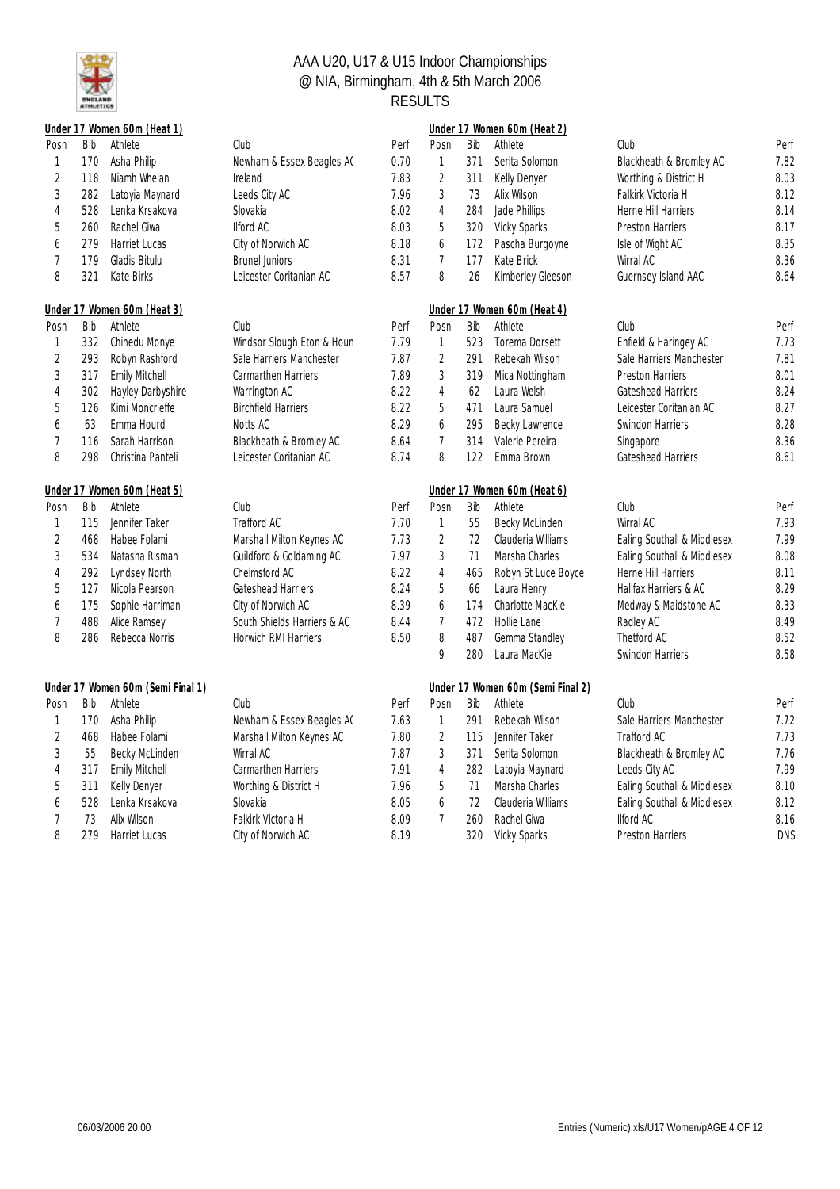

|                          |     | Under 17 Women 60m (Heat 1)       |                                        |      |                          |     | Under 17 Women 60m (Heat 2)       |                                        |      |
|--------------------------|-----|-----------------------------------|----------------------------------------|------|--------------------------|-----|-----------------------------------|----------------------------------------|------|
| Posn                     | Bib | Athlete                           | Club                                   | Perf | Posn                     | Bib | Athlete                           | Club                                   | Perf |
| 1                        | 170 | Asha Philip                       | Newham & Essex Beagles AC              | 0.70 | $\mathbf{1}$             | 371 | Serita Solomon                    | Blackheath & Bromley AC                | 7.82 |
| $\sqrt{2}$               | 118 | Niamh Whelan                      | Ireland                                | 7.83 | $\overline{c}$           | 311 | Kelly Denyer                      | Worthing & District H                  | 8.03 |
| $\sqrt{3}$               | 282 | Latoyia Maynard                   | Leeds City AC                          | 7.96 | 3                        | 73  | Alix Wilson                       | Falkirk Victoria H                     | 8.12 |
| $\overline{4}$           | 528 | Lenka Krsakova                    | Slovakia                               | 8.02 | 4                        | 284 | Jade Phillips                     | Herne Hill Harriers                    | 8.14 |
| 5                        | 260 | Rachel Giwa                       | <b>Ilford AC</b>                       | 8.03 | 5                        | 320 | <b>Vicky Sparks</b>               | <b>Preston Harriers</b>                | 8.17 |
| 6                        | 279 | Harriet Lucas                     | City of Norwich AC                     | 8.18 | 6                        | 172 | Pascha Burgoyne                   | Isle of Wight AC                       | 8.35 |
| $\overline{1}$           | 179 | Gladis Bitulu                     | <b>Brunel Juniors</b>                  | 8.31 | $\overline{\mathcal{I}}$ | 177 | Kate Brick                        | Wirral AC                              | 8.36 |
| 8                        | 321 | Kate Birks                        | Leicester Coritanian AC                | 8.57 | 8                        | 26  | Kimberley Gleeson                 | Guernsey Island AAC                    | 8.64 |
|                          |     | Under 17 Women 60m (Heat 3)       |                                        |      |                          |     | Under 17 Women 60m (Heat 4)       |                                        |      |
| Posn                     | Bib | Athlete                           | Club                                   | Perf | Posn                     | Bib | Athlete                           | Club                                   | Perf |
| 1                        | 332 | Chinedu Monye                     | Windsor Slough Eton & Houn             | 7.79 | $\mathbf{1}$             | 523 | Torema Dorsett                    | Enfield & Haringey AC                  | 7.73 |
| $\sqrt{2}$               | 293 | Robyn Rashford                    | Sale Harriers Manchester               | 7.87 | $\overline{2}$           | 291 | Rebekah Wilson                    | Sale Harriers Manchester               | 7.81 |
| $\sqrt{3}$               | 317 | Emily Mitchell                    | <b>Carmarthen Harriers</b>             | 7.89 | 3                        | 319 | Mica Nottingham                   | Preston Harriers                       | 8.01 |
| $\overline{4}$           | 302 | Hayley Darbyshire                 | Warrington AC                          | 8.22 | $\overline{4}$           | 62  | Laura Welsh                       | Gateshead Harriers                     | 8.24 |
| 5                        | 126 | Kimi Moncrieffe                   | <b>Birchfield Harriers</b>             | 8.22 | 5                        | 471 | Laura Samuel                      | Leicester Coritanian AC                | 8.27 |
| 6                        | 63  | Emma Hourd                        | Notts AC                               | 8.29 | 6                        | 295 | Becky Lawrence                    | Swindon Harriers                       | 8.28 |
| $\overline{1}$           | 116 | Sarah Harrison                    | Blackheath & Bromley AC                | 8.64 | $\overline{7}$           | 314 | Valerie Pereira                   | Singapore                              | 8.36 |
| 8                        | 298 | Christina Panteli                 | Leicester Coritanian AC                | 8.74 | 8                        | 122 | Emma Brown                        | Gateshead Harriers                     | 8.61 |
|                          |     | Under 17 Women 60m (Heat 5)       |                                        |      |                          |     | Under 17 Women 60m (Heat 6)       |                                        |      |
| Posn                     | Bib | Athlete                           | Club                                   | Perf | Posn                     | Bib | Athlete                           | Club                                   | Perf |
|                          |     |                                   |                                        |      |                          |     |                                   |                                        |      |
| $\mathbf{1}$             | 115 | Jennifer Taker                    | Trafford AC                            | 7.70 | $\mathbf{1}$             | 55  | Becky McLinden                    | Wirral AC                              | 7.93 |
| $\sqrt{2}$               | 468 | Habee Folami                      | Marshall Milton Keynes AC              | 7.73 | $\overline{2}$           | 72  | Clauderia Williams                | Ealing Southall & Middlesex            | 7.99 |
| $\overline{3}$           | 534 | Natasha Risman                    | Guildford & Goldaming AC               | 7.97 | 3                        | 71  | Marsha Charles                    | Ealing Southall & Middlesex            | 8.08 |
| $\overline{4}$           | 292 | Lyndsey North                     | Chelmsford AC                          | 8.22 | 4                        | 465 | Robyn St Luce Boyce               | Herne Hill Harriers                    | 8.11 |
| 5                        | 127 | Nicola Pearson                    | Gateshead Harriers                     | 8.24 | 5                        | 66  | Laura Henry                       | Halifax Harriers & AC                  | 8.29 |
| 6                        | 175 | Sophie Harriman                   | City of Norwich AC                     | 8.39 | 6                        | 174 | Charlotte MacKie                  |                                        | 8.33 |
| $\overline{1}$           | 488 | Alice Ramsey                      | South Shields Harriers & AC            | 8.44 | $\overline{7}$           | 472 | Hollie Lane                       | Medway & Maidstone AC<br>Radley AC     | 8.49 |
| 8                        | 286 | Rebecca Norris                    | Horwich RMI Harriers                   | 8.50 | 8                        | 487 | Gemma Standley                    | Thetford AC                            | 8.52 |
|                          |     |                                   |                                        |      | 9                        | 280 | Laura MacKie                      | Swindon Harriers                       | 8.58 |
|                          |     | Under 17 Women 60m (Semi Final 1) |                                        |      |                          |     | Under 17 Women 60m (Semi Final 2) |                                        |      |
| Posn                     | Bib | Athlete                           | Club                                   | Perf | Posn                     | Bib | Athlete                           | Club                                   | Perf |
| 1                        | 170 | Asha Philip                       | Newham & Essex Beagles AC              | 7.63 | 1                        | 291 | Rebekah Wilson                    | Sale Harriers Manchester               | 7.72 |
|                          | 468 | Habee Folami                      |                                        | 7.80 | $\overline{2}$           | 115 | Jennifer Taker                    |                                        | 7.73 |
| $\sqrt{2}$<br>$\sqrt{3}$ | 55  | Becky McLinden                    | Marshall Milton Keynes AC<br>Wirral AC | 7.87 | 3                        | 371 | Serita Solomon                    | Trafford AC<br>Blackheath & Bromley AC | 7.76 |
| $\overline{4}$           | 317 | Emily Mitchell                    | Carmarthen Harriers                    | 7.91 | $\overline{4}$           | 282 |                                   | Leeds City AC                          | 7.99 |
| 5                        | 311 | Kelly Denyer                      | Worthing & District H                  | 7.96 | 5                        | 71  | Latoyia Maynard<br>Marsha Charles | Ealing Southall & Middlesex            | 8.10 |
| 6                        | 528 | Lenka Krsakova                    | Slovakia                               | 8.05 | 6                        | 72  | Clauderia Williams                | Ealing Southall & Middlesex            | 8.12 |
| $\overline{1}$           | 73  | Alix Wilson                       | Falkirk Victoria H                     | 8.09 | 7                        | 260 | Rachel Giwa                       | <b>Ilford AC</b>                       | 8.16 |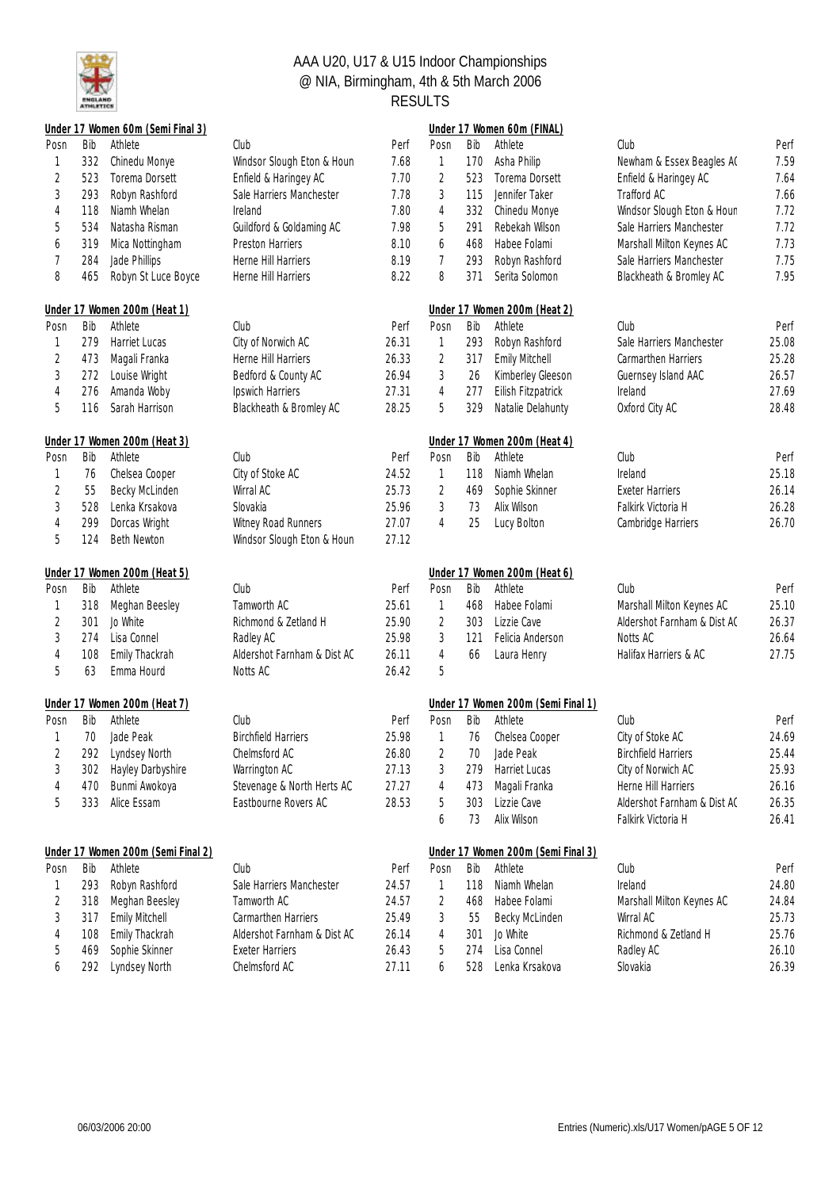

|                |            | Under 17 Women 60m (Semi Final 3)  |                                         |                |                |            | Under 17 Women 60m (FINAL)         |                             |                |
|----------------|------------|------------------------------------|-----------------------------------------|----------------|----------------|------------|------------------------------------|-----------------------------|----------------|
| Posn           | Bib        | Athlete                            | Club                                    | Perf           | Posn           | Bib        | Athlete                            | Club                        | Perf           |
| 1              | 332        | Chinedu Monye                      | Windsor Slough Eton & Houn              | 7.68           | 1              | 170        | Asha Philip                        | Newham & Essex Beagles AC   | 7.59           |
| $\sqrt{2}$     | 523        | Torema Dorsett                     | Enfield & Haringey AC                   | 7.70           | $\overline{c}$ | 523        | Torema Dorsett                     | Enfield & Haringey AC       | 7.64           |
| 3              | 293        | Robyn Rashford                     | Sale Harriers Manchester                | 7.78           | 3              | 115        | Jennifer Taker                     | Trafford AC                 | 7.66           |
| 4              | 118        | Niamh Whelan                       | Ireland                                 | 7.80           | 4              | 332        | Chinedu Monye                      | Windsor Slough Eton & Houn  | 7.72           |
| 5              | 534        | Natasha Risman                     | Guildford & Goldaming AC                | 7.98           | 5              | 291        | Rebekah Wilson                     | Sale Harriers Manchester    | 7.72           |
| 6              | 319        | Mica Nottingham                    | Preston Harriers                        | 8.10           | 6              | 468        | Habee Folami                       | Marshall Milton Keynes AC   | 7.73           |
| 7              | 284        | Jade Phillips                      | Herne Hill Harriers                     | 8.19           | 7              | 293        | Robyn Rashford                     | Sale Harriers Manchester    | 7.75           |
| 8              | 465        | Robyn St Luce Boyce                | Herne Hill Harriers                     | 8.22           | 8              | 371        | Serita Solomon                     | Blackheath & Bromley AC     | 7.95           |
|                |            | Under 17 Women 200m (Heat 1)       |                                         |                |                |            | Under 17 Women 200m (Heat 2)       |                             |                |
| Posn           | Bib        | Athlete                            | Club                                    | Perf           | Posn           | Bib        | Athlete                            | Club                        | Perf           |
| 1              | 279        | Harriet Lucas                      | City of Norwich AC                      | 26.31          | 1              | 293        | Robyn Rashford                     | Sale Harriers Manchester    | 25.08          |
| $\overline{2}$ | 473        | Magali Franka                      | Herne Hill Harriers                     | 26.33          | $\sqrt{2}$     | 317        | Emily Mitchell                     | Carmarthen Harriers         | 25.28          |
| 3              | 272        | Louise Wright                      | Bedford & County AC                     | 26.94          | $\mathfrak{Z}$ | 26         | Kimberley Gleeson                  | Guernsey Island AAC         | 26.57          |
| 4              | 276        | Amanda Woby                        | Ipswich Harriers                        | 27.31          | $\sqrt{4}$     | 277        | Eilish Fitzpatrick                 | Ireland                     | 27.69          |
| 5              | 116        | Sarah Harrison                     | Blackheath & Bromley AC                 | 28.25          | 5              | 329        | Natalie Delahunty                  | Oxford City AC              | 28.48          |
|                |            | Under 17 Women 200m (Heat 3)       |                                         |                |                |            | Under 17 Women 200m (Heat 4)       |                             |                |
| Posn           | Bib        | Athlete                            | Club                                    | Perf           | Posn           | Bib        | Athlete                            | Club                        | Perf           |
| 1              | 76         | Chelsea Cooper                     | City of Stoke AC                        | 24.52          | 1              | 118        | Niamh Whelan                       | Ireland                     | 25.18          |
| 2              | 55         | Becky McLinden                     | Wirral AC                               | 25.73          | 2              | 469        | Sophie Skinner                     | <b>Exeter Harriers</b>      | 26.14          |
| 3              | 528        | Lenka Krsakova                     | Slovakia                                | 25.96          | 3              | 73         | Alix Wilson                        | Falkirk Victoria H          | 26.28          |
| 4              | 299        | Dorcas Wright                      | Witney Road Runners                     | 27.07          | 4              | 25         | Lucy Bolton                        | Cambridge Harriers          | 26.70          |
| 5              | 124        | <b>Beth Newton</b>                 | Windsor Slough Eton & Houn              | 27.12          |                |            |                                    |                             |                |
|                |            |                                    |                                         |                |                |            |                                    |                             |                |
|                |            | Under 17 Women 200m (Heat 5)       |                                         |                |                |            | Under 17 Women 200m (Heat 6)       |                             |                |
| Posn           | Bib        | Athlete                            | Club                                    | Perf           | Posn           | Bib        | Athlete                            | Club                        | Perf           |
| 1              | 318        | Meghan Beesley                     | Tamworth AC                             | 25.61          | 1              | 468        | Habee Folami                       | Marshall Milton Keynes AC   | 25.10          |
| 2              | 301        | Jo White                           | Richmond & Zetland H                    | 25.90          | $\overline{2}$ | 303        | Lizzie Cave                        | Aldershot Farnham & Dist AC | 26.37          |
| 3              | 274        | Lisa Connel                        | Radley AC                               | 25.98          | 3              | 121        | Felicia Anderson                   | Notts AC                    | 26.64          |
| 4              | 108        | Emily Thackrah                     | Aldershot Farnham & Dist AC             | 26.11          | $\overline{4}$ | 66         | Laura Henry                        | Halifax Harriers & AC       | 27.75          |
| 5              | 63         | Emma Hourd                         | Notts AC                                | 26.42          | 5              |            |                                    |                             |                |
|                |            | Under 17 Women 200m (Heat 7)       |                                         |                |                |            | Under 17 Women 200m (Semi Final 1) |                             |                |
| Posn           | Bib        | Athlete                            | Club                                    | Perf           | Posn           | Bib        | Athlete                            | Club                        | Perf           |
|                | 70         | Jade Peak                          | <b>Birchfield Harriers</b>              | 25.98          | 1              | 76         | Chelsea Cooper                     | City of Stoke AC            | 24.69          |
|                |            | 292 Lyndsey North                  | Chelmsford AC                           | 26.80          | 2              | 70         | Jade Peak                          | <b>Birchfield Harriers</b>  | 25.44          |
| 3              | 302        | Hayley Darbyshire                  | Warrington AC                           | 27.13          | 3              | 279        | Harriet Lucas                      | City of Norwich AC          | 25.93          |
| 4              | 470        | Bunmi Awokoya                      | Stevenage & North Herts AC              | 27.27          | 4              | 473        | Magali Franka                      | Herne Hill Harriers         | 26.16          |
| 5              | 333        | Alice Essam                        | Eastbourne Rovers AC                    | 28.53          | 5              | 303        | Lizzie Cave                        | Aldershot Farnham & Dist AC | 26.35          |
|                |            |                                    |                                         |                | 6              | 73         | Alix Wilson                        | Falkirk Victoria H          | 26.41          |
|                |            | Under 17 Women 200m (Semi Final 2) |                                         |                |                |            | Under 17 Women 200m (Semi Final 3) |                             |                |
| Posn           | Bib        | Athlete                            | Club                                    | Perf           | Posn           | Bib        | Athlete                            | Club                        | Perf           |
|                | 293        | Robyn Rashford                     | Sale Harriers Manchester                | 24.57          | 1              | 118        | Niamh Whelan                       | Ireland                     | 24.80          |
| 2              | 318        | Meghan Beesley                     | Tamworth AC                             | 24.57          | 2              | 468        | Habee Folami                       | Marshall Milton Keynes AC   | 24.84          |
| 3              | 317        | Emily Mitchell                     | Carmarthen Harriers                     | 25.49          | 3              | 55         | Becky McLinden                     | Wirral AC                   | 25.73          |
| 4              | 108        | Emily Thackrah                     | Aldershot Farnham & Dist AC             | 26.14          | 4              | 301        | Jo White                           | Richmond & Zetland H        | 25.76          |
| 5              | 469<br>292 | Sophie Skinner<br>Lyndsey North    | <b>Exeter Harriers</b><br>Chelmsford AC | 26.43<br>27.11 | 5              | 274<br>528 | Lisa Connel<br>Lenka Krsakova      | Radley AC<br>Slovakia       | 26.10<br>26.39 |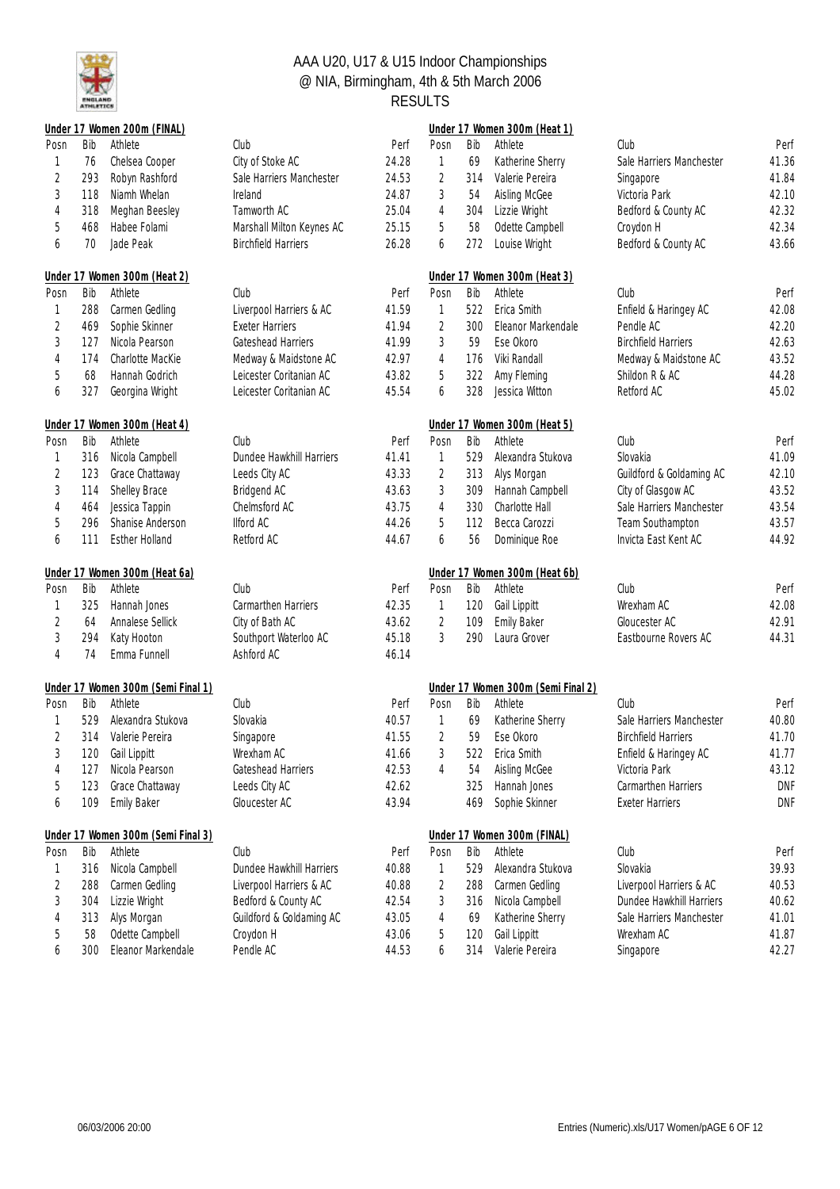

|                |     | Under 17 Women 200m (FINAL)        |                            |       |                |     | Under 17 Women 300m (Heat 1)       |                            |            |
|----------------|-----|------------------------------------|----------------------------|-------|----------------|-----|------------------------------------|----------------------------|------------|
| Posn           | Bib | Athlete                            | Club                       | Perf  | Posn           | Bib | Athlete                            | Club                       | Perf       |
| 1              | 76  | Chelsea Cooper                     | City of Stoke AC           | 24.28 | 1              | 69  | Katherine Sherry                   | Sale Harriers Manchester   | 41.36      |
| $\sqrt{2}$     | 293 | Robyn Rashford                     | Sale Harriers Manchester   | 24.53 | $\overline{2}$ | 314 | Valerie Pereira                    | Singapore                  | 41.84      |
| $\sqrt{3}$     | 118 | Niamh Whelan                       | Ireland                    | 24.87 | 3              | 54  | Aisling McGee                      | Victoria Park              | 42.10      |
| $\overline{4}$ | 318 | Meghan Beesley                     | Tamworth AC                | 25.04 | 4              | 304 | Lizzie Wright                      | Bedford & County AC        | 42.32      |
| 5              | 468 | Habee Folami                       | Marshall Milton Keynes AC  | 25.15 | 5              | 58  | Odette Campbell                    | Croydon H                  | 42.34      |
| 6              | 70  | Jade Peak                          | <b>Birchfield Harriers</b> | 26.28 | 6              | 272 | Louise Wright                      | Bedford & County AC        | 43.66      |
|                |     | Under 17 Women 300m (Heat 2)       |                            |       |                |     | Under 17 Women 300m (Heat 3)       |                            |            |
| Posn           | Bib | Athlete                            | Club                       | Perf  | Posn           | Bib | Athlete                            | Club                       | Perf       |
| 1              | 288 | Carmen Gedling                     | Liverpool Harriers & AC    | 41.59 | 1              | 522 | Erica Smith                        | Enfield & Haringey AC      | 42.08      |
| $\sqrt{2}$     | 469 | Sophie Skinner                     | <b>Exeter Harriers</b>     | 41.94 | 2              | 300 | Eleanor Markendale                 | Pendle AC                  | 42.20      |
| $\sqrt{3}$     | 127 | Nicola Pearson                     | Gateshead Harriers         | 41.99 | 3              | 59  | Ese Okoro                          | <b>Birchfield Harriers</b> | 42.63      |
| $\overline{4}$ | 174 | Charlotte MacKie                   | Medway & Maidstone AC      | 42.97 | 4              | 176 | Viki Randall                       | Medway & Maidstone AC      | 43.52      |
| 5              | 68  | Hannah Godrich                     | Leicester Coritanian AC    | 43.82 | 5              | 322 | Amy Fleming                        | Shildon R & AC             | 44.28      |
| 6              | 327 | Georgina Wright                    | Leicester Coritanian AC    | 45.54 | 6              | 328 | Jessica Witton                     | Retford AC                 | 45.02      |
|                |     | Under 17 Women 300m (Heat 4)       |                            |       |                |     | Under 17 Women 300m (Heat 5)       |                            |            |
| Posn           | Bib | Athlete                            | Club                       | Perf  | Posn           | Bib | Athlete                            | Club                       | Perf       |
| 1              | 316 | Nicola Campbell                    | Dundee Hawkhill Harriers   | 41.41 | 1              | 529 | Alexandra Stukova                  | Slovakia                   | 41.09      |
| $\sqrt{2}$     | 123 | Grace Chattaway                    | Leeds City AC              | 43.33 | $\sqrt{2}$     | 313 | Alys Morgan                        | Guildford & Goldaming AC   | 42.10      |
| $\sqrt{3}$     | 114 | Shelley Brace                      | Bridgend AC                | 43.63 | 3              | 309 | Hannah Campbell                    | City of Glasgow AC         | 43.52      |
| $\overline{4}$ | 464 | Jessica Tappin                     | Chelmsford AC              | 43.75 | 4              | 330 | Charlotte Hall                     | Sale Harriers Manchester   | 43.54      |
| 5              | 296 | Shanise Anderson                   | Ilford AC                  | 44.26 | 5              | 112 | Becca Carozzi                      | Team Southampton           | 43.57      |
| 6              | 111 | <b>Esther Holland</b>              | Retford AC                 | 44.67 | 6              | 56  | Dominique Roe                      | Invicta East Kent AC       | 44.92      |
|                |     | Under 17 Women 300m (Heat 6a)      |                            |       |                |     | Under 17 Women 300m (Heat 6b)      |                            |            |
| Posn           | Bib | Athlete                            | Club                       | Perf  | Posn           | Bib | Athlete                            | Club                       | Perf       |
| 1              | 325 | Hannah Jones                       | Carmarthen Harriers        | 42.35 | $\mathbf{1}$   | 120 | Gail Lippitt                       | Wrexham AC                 | 42.08      |
| $\sqrt{2}$     | 64  | Annalese Sellick                   | City of Bath AC            | 43.62 | 2              | 109 | <b>Emily Baker</b>                 | Gloucester AC              | 42.91      |
| $\mathfrak{Z}$ | 294 | Katy Hooton                        | Southport Waterloo AC      | 45.18 | 3              | 290 | Laura Grover                       | Eastbourne Rovers AC       | 44.31      |
| $\overline{4}$ | 74  | Emma Funnell                       | Ashford AC                 | 46.14 |                |     |                                    |                            |            |
|                |     | Under 17 Women 300m (Semi Final 1) |                            |       |                |     | Under 17 Women 300m (Semi Final 2) |                            |            |
| Posn           | Bib | Athlete                            | Club                       | Perf  | Posn           | Bib | Athlete                            | Club                       | Perf       |
| 1              | 529 | Alexandra Stukova                  | Slovakia                   | 40.57 | 1              | 69  | Katherine Sherry                   | Sale Harriers Manchester   | 40.80      |
| $\overline{2}$ |     | 314 Valerie Pereira                | Singapore                  | 41.55 | $\overline{2}$ | 59  | Ese Okoro                          | <b>Birchfield Harriers</b> | 41.70      |
| 3              |     | 120 Gail Lippitt                   | Wrexham AC                 | 41.66 | $\sqrt{3}$     |     | 522 Erica Smith                    | Enfield & Haringey AC      | 41.77      |
| 4              | 127 | Nicola Pearson                     | Gateshead Harriers         | 42.53 | 4              | 54  | Aisling McGee                      | Victoria Park              | 43.12      |
| 5              | 123 | Grace Chattaway                    | Leeds City AC              | 42.62 |                | 325 | Hannah Jones                       | Carmarthen Harriers        | <b>DNF</b> |
| 6              | 109 | <b>Emily Baker</b>                 | Gloucester AC              | 43.94 |                | 469 | Sophie Skinner                     | <b>Exeter Harriers</b>     | DNF        |
|                |     | Under 17 Women 300m (Semi Final 3) |                            |       |                |     | Under 17 Women 300m (FINAL)        |                            |            |
| Posn           | Bib | Athlete                            | Club                       | Perf  | Posn           | Bib | Athlete                            | Club                       | Perf       |
| 1              | 316 | Nicola Campbell                    | Dundee Hawkhill Harriers   | 40.88 | 1              | 529 | Alexandra Stukova                  | Slovakia                   | 39.93      |
| 2              | 288 | Carmen Gedling                     | Liverpool Harriers & AC    | 40.88 | 2              | 288 | Carmen Gedling                     | Liverpool Harriers & AC    | 40.53      |
| 3              | 304 | Lizzie Wright                      | Bedford & County AC        | 42.54 | 3              | 316 | Nicola Campbell                    | Dundee Hawkhill Harriers   | 40.62      |
| 4              | 313 | Alys Morgan                        | Guildford & Goldaming AC   | 43.05 | 4              | 69  | Katherine Sherry                   | Sale Harriers Manchester   | 41.01      |
| 5              | 58  | Odette Campbell                    | Croydon H                  | 43.06 | 5              | 120 | Gail Lippitt                       | Wrexham AC                 | 41.87      |
| 6              | 300 | Eleanor Markendale                 | Pendle AC                  | 44.53 | 6              | 314 | Valerie Pereira                    | Singapore                  | 42.27      |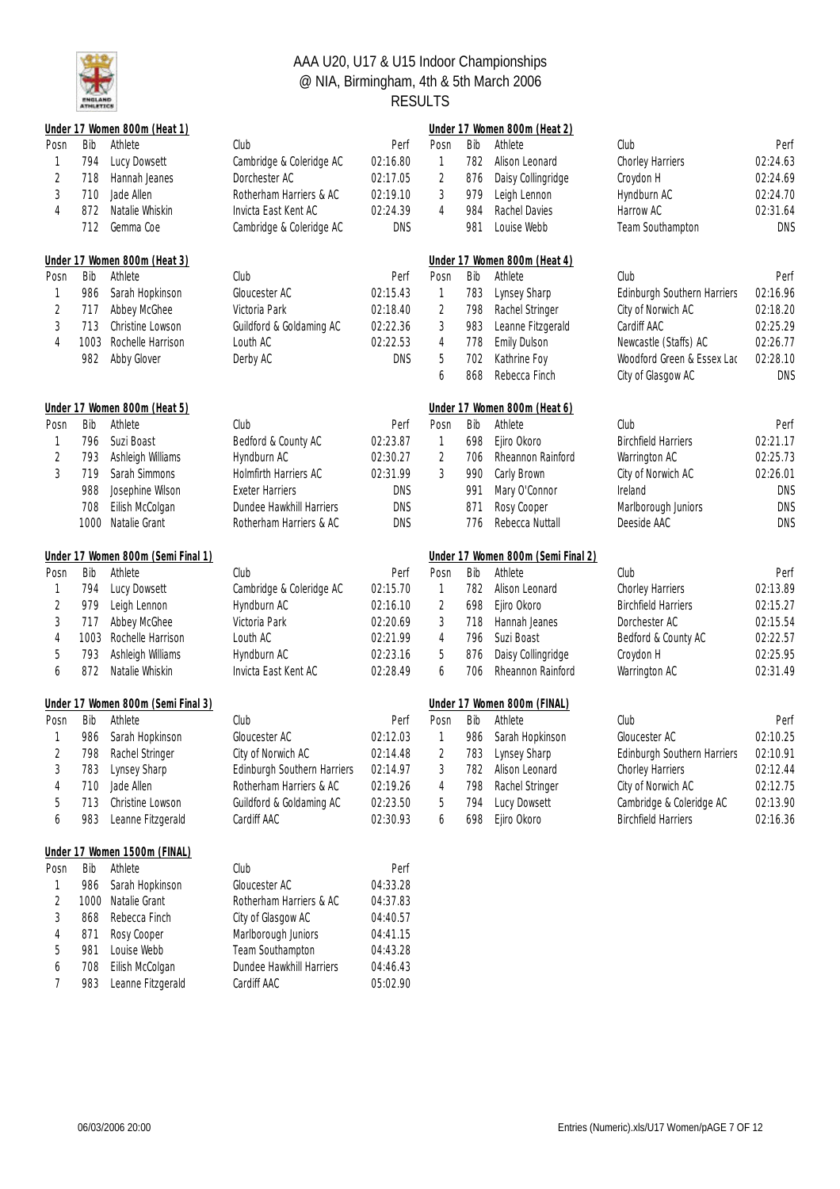

|                |      | Under 17 Women 800m (Heat 1)       |                             |            |                |     | Under 17 Women 800m (Heat 2)       |                                    |            |
|----------------|------|------------------------------------|-----------------------------|------------|----------------|-----|------------------------------------|------------------------------------|------------|
| Posn           | Bib  | Athlete                            | Club                        | Perf       | Posn           | Bib | Athlete                            | Club                               | Perf       |
| 1              | 794  | Lucy Dowsett                       | Cambridge & Coleridge AC    | 02:16.80   | 1              | 782 | Alison Leonard                     | Chorley Harriers                   | 02:24.63   |
| $\overline{2}$ | 718  | Hannah Jeanes                      | Dorchester AC               | 02:17.05   | $\overline{2}$ | 876 | Daisy Collingridge                 | Croydon H                          | 02:24.69   |
| 3              | 710  | Jade Allen                         | Rotherham Harriers & AC     | 02:19.10   | 3              | 979 | Leigh Lennon                       | Hyndburn AC                        | 02:24.70   |
| 4              | 872  | Natalie Whiskin                    | Invicta East Kent AC        | 02:24.39   | 4              | 984 | Rachel Davies                      | Harrow AC                          | 02:31.64   |
|                | 712  | Gemma Coe                          | Cambridge & Coleridge AC    | <b>DNS</b> |                | 981 | Louise Webb                        | Team Southampton                   | <b>DNS</b> |
|                |      | Under 17 Women 800m (Heat 3)       |                             |            |                |     | Under 17 Women 800m (Heat 4)       |                                    |            |
| Posn           | Bib  | Athlete                            | Club                        | Perf       | Posn           | Bib | Athlete                            | Club                               | Perf       |
| 1              | 986  | Sarah Hopkinson                    | Gloucester AC               | 02:15.43   | $\mathbf{1}$   | 783 | Lynsey Sharp                       | <b>Edinburgh Southern Harriers</b> | 02:16.96   |
| $\overline{2}$ | 717  | Abbey McGhee                       | Victoria Park               | 02:18.40   | $\overline{2}$ | 798 | Rachel Stringer                    | City of Norwich AC                 | 02:18.20   |
| 3              | 713  | Christine Lowson                   | Guildford & Goldaming AC    | 02:22.36   | 3              | 983 | Leanne Fitzgerald                  | Cardiff AAC                        | 02:25.29   |
| 4              | 1003 | Rochelle Harrison                  | Louth AC                    | 02:22.53   | 4              | 778 | <b>Emily Dulson</b>                | Newcastle (Staffs) AC              | 02:26.77   |
|                | 982  | Abby Glover                        | Derby AC                    | <b>DNS</b> | 5              | 702 | Kathrine Foy                       | Woodford Green & Essex Lac         | 02:28.10   |
|                |      |                                    |                             |            | 6              | 868 | Rebecca Finch                      | City of Glasgow AC                 | <b>DNS</b> |
|                |      | Under 17 Women 800m (Heat 5)       |                             |            |                |     | Under 17 Women 800m (Heat 6)       |                                    |            |
| Posn           | Bib  | Athlete                            | Club                        | Perf       | Posn           | Bib | Athlete                            | Club                               | Perf       |
| 1              | 796  | Suzi Boast                         | Bedford & County AC         | 02:23.87   | $\mathbb{1}$   | 698 | Ejiro Okoro                        | <b>Birchfield Harriers</b>         | 02:21.17   |
| $\sqrt{2}$     | 793  | Ashleigh Williams                  | Hyndburn AC                 | 02:30.27   | $\overline{2}$ | 706 | Rheannon Rainford                  | Warrington AC                      | 02:25.73   |
| 3              | 719  | Sarah Simmons                      | Holmfirth Harriers AC       | 02:31.99   | 3              | 990 | Carly Brown                        | City of Norwich AC                 | 02:26.01   |
|                | 988  | Josephine Wilson                   | <b>Exeter Harriers</b>      | <b>DNS</b> |                | 991 | Mary O'Connor                      | Ireland                            | <b>DNS</b> |
|                | 708  | Eilish McColgan                    | Dundee Hawkhill Harriers    | <b>DNS</b> |                | 871 | Rosy Cooper                        | Marlborough Juniors                | DNS        |
|                | 1000 | Natalie Grant                      | Rotherham Harriers & AC     | <b>DNS</b> |                | 776 | Rebecca Nuttall                    | Deeside AAC                        | <b>DNS</b> |
|                |      | Under 17 Women 800m (Semi Final 1) |                             |            |                |     | Under 17 Women 800m (Semi Final 2) |                                    |            |
| Posn           | Bib  | Athlete                            | Club                        | Perf       | Posn           | Bib | Athlete                            | Club                               | Perf       |
| 1              | 794  | Lucy Dowsett                       | Cambridge & Coleridge AC    | 02:15.70   | 1              | 782 | Alison Leonard                     | Chorley Harriers                   | 02:13.89   |
| $\overline{2}$ | 979  | Leigh Lennon                       | Hyndburn AC                 | 02:16.10   | 2              | 698 | Ejiro Okoro                        | <b>Birchfield Harriers</b>         | 02:15.27   |
| 3              | 717  | Abbey McGhee                       | Victoria Park               | 02:20.69   | 3              | 718 | Hannah Jeanes                      | Dorchester AC                      | 02:15.54   |
| 4              | 1003 | Rochelle Harrison                  | Louth AC                    | 02:21.99   | 4              | 796 | Suzi Boast                         | Bedford & County AC                | 02:22.57   |
| 5              | 793  | Ashleigh Williams                  | Hyndburn AC                 | 02:23.16   | 5              | 876 | Daisy Collingridge                 | Croydon H                          | 02:25.95   |
| 6              | 872  | Natalie Whiskin                    | Invicta East Kent AC        | 02:28.49   | 6              | 706 | Rheannon Rainford                  | Warrington AC                      | 02:31.49   |
|                |      | Under 17 Women 800m (Semi Final 3) |                             |            |                |     | Under 17 Women 800m (FINAL)        |                                    |            |
| Posn           | Bib  | Athlete                            | Club                        | Perf       | Posn           | Bib | Athlete                            | Club                               | Perf       |
|                | 986  | Sarah Hopkinson                    | Gloucester AC               | 02:12.03   | 1              | 986 | Sarah Hopkinson                    | Gloucester AC                      | 02:10.25   |
| 2              |      | 798 Rachel Stringer                | City of Norwich AC          | 02:14.48   | $\overline{2}$ |     | 783 Lynsey Sharp                   | Edinburgh Southern Harriers        | 02:10.91   |
| 3              | 783  | Lynsey Sharp                       | Edinburgh Southern Harriers | 02:14.97   | 3              | 782 | Alison Leonard                     | Chorley Harriers                   | 02:12.44   |
| 4              | 710  | Jade Allen                         | Rotherham Harriers & AC     | 02:19.26   | 4              | 798 | Rachel Stringer                    | City of Norwich AC                 | 02:12.75   |
| 5              | 713  | Christine Lowson                   | Guildford & Goldaming AC    | 02:23.50   | 5              | 794 | Lucy Dowsett                       | Cambridge & Coleridge AC           | 02:13.90   |
| 6              | 983  | Leanne Fitzgerald                  | Cardiff AAC                 | 02:30.93   | 6              | 698 | Ejiro Okoro                        | <b>Birchfield Harriers</b>         | 02:16.36   |
|                |      |                                    |                             |            |                |     |                                    |                                    |            |
|                |      | Under 17 Women 1500m (FINAL)       |                             |            |                |     |                                    |                                    |            |
| Posn           | Bib  | Athlete                            | Club                        | Perf       |                |     |                                    |                                    |            |
|                | 986  | Sarah Hopkinson                    | Gloucester AC               | 04:33.28   |                |     |                                    |                                    |            |
| 2              | 1000 | Natalie Grant                      | Rotherham Harriers & AC     | 04:37.83   |                |     |                                    |                                    |            |
| 3              | 868  | Rebecca Finch                      | City of Glasgow AC          | 04:40.57   |                |     |                                    |                                    |            |
| 4              | 871  | Rosy Cooper                        | Marlborough Juniors         | 04:41.15   |                |     |                                    |                                    |            |
| 5              | 981  | Louise Webb                        | Team Southampton            | 04:43.28   |                |     |                                    |                                    |            |
| 6              | 708  | Eilish McColgan                    | Dundee Hawkhill Harriers    | 04:46.43   |                |     |                                    |                                    |            |
| 7              | 983  | Leanne Fitzgerald                  | Cardiff AAC                 | 05:02.90   |                |     |                                    |                                    |            |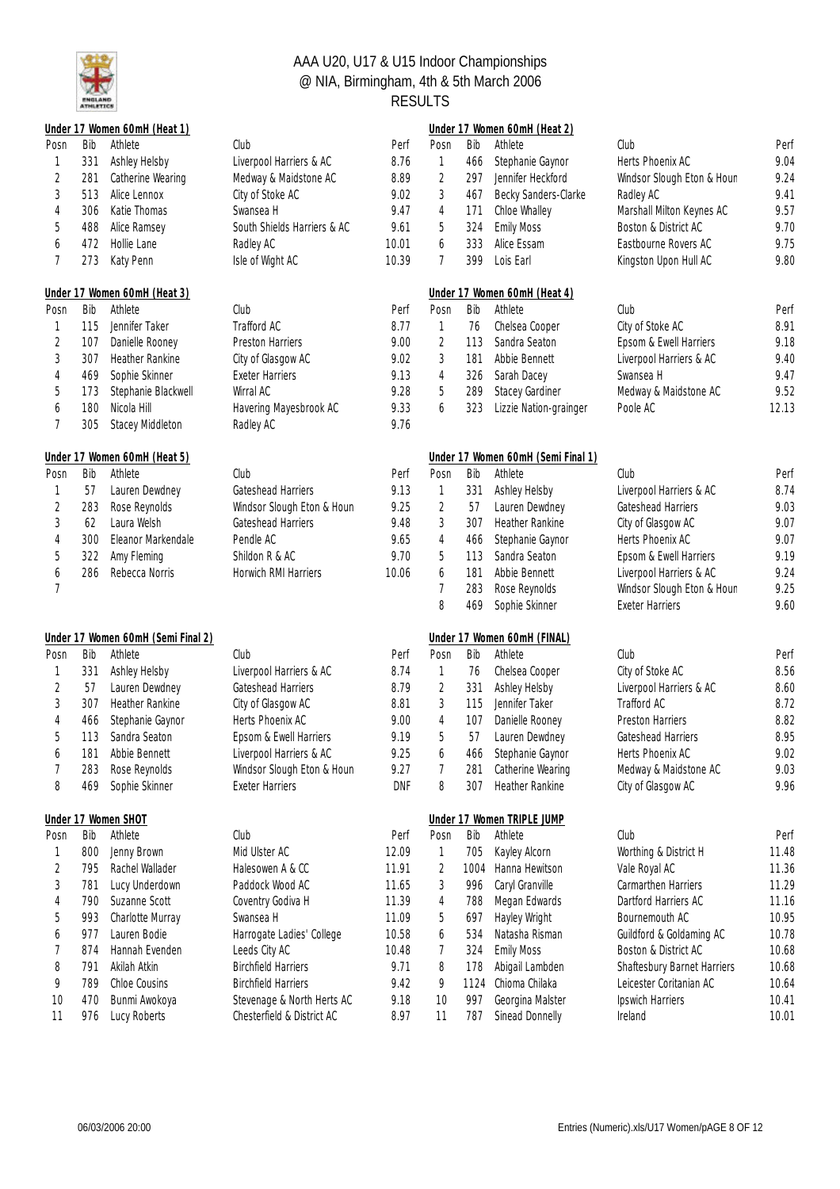

|                |            | Under 17 Women 60mH (Heat 1)                  |                                                      |                    |                |            | Under 17 Women 60mH (Heat 2)           |                                             |              |
|----------------|------------|-----------------------------------------------|------------------------------------------------------|--------------------|----------------|------------|----------------------------------------|---------------------------------------------|--------------|
| Posn           | Bib        | Athlete                                       | Club                                                 | Perf               | Posn           | Bib        | Athlete                                | Club                                        | Perf         |
| 1              | 331        | Ashley Helsby                                 | Liverpool Harriers & AC                              | 8.76               | 1              | 466        | Stephanie Gaynor                       | Herts Phoenix AC                            | 9.04         |
| 2              | 281        | Catherine Wearing                             | Medway & Maidstone AC                                | 8.89               | $\sqrt{2}$     | 297        | Jennifer Heckford                      | Windsor Slough Eton & Houn                  | 9.24         |
| 3              | 513        | Alice Lennox                                  | City of Stoke AC                                     | 9.02               | $\sqrt{3}$     | 467        | Becky Sanders-Clarke                   | Radley AC                                   | 9.41         |
| 4              | 306        | Katie Thomas                                  | Swansea H                                            | 9.47               | 4              | 171        | Chloe Whalley                          | Marshall Milton Keynes AC                   | 9.57         |
| 5              | 488        | Alice Ramsey                                  | South Shields Harriers & AC                          | 9.61               | 5              | 324        | <b>Emily Moss</b>                      | Boston & District AC                        | 9.70         |
| 6              | 472        | Hollie Lane                                   | Radley AC                                            | 10.01              | 6              | 333        | Alice Essam                            | Eastbourne Rovers AC                        | 9.75         |
| 7              | 273        | Katy Penn                                     | Isle of Wight AC                                     | 10.39              | $\overline{7}$ | 399        | Lois Earl                              | Kingston Upon Hull AC                       | 9.80         |
|                |            | Under 17 Women 60mH (Heat 3)                  |                                                      |                    |                |            | Under 17 Women 60mH (Heat 4)           |                                             |              |
| Posn           | Bib        | Athlete                                       | Club                                                 | Perf               | Posn           | Bib        | Athlete                                | Club                                        | Perf         |
| 1              | 115        | Jennifer Taker                                | Trafford AC                                          | 8.77               | $\mathbf{1}$   | 76         | Chelsea Cooper                         | City of Stoke AC                            | 8.91         |
| $\sqrt{2}$     | 107        | Danielle Rooney                               | <b>Preston Harriers</b>                              | 9.00               | $\sqrt{2}$     | 113        | Sandra Seaton                          | Epsom & Ewell Harriers                      | 9.18         |
| 3              | 307        | Heather Rankine                               | City of Glasgow AC                                   | 9.02               | $\sqrt{3}$     | 181        | Abbie Bennett                          | Liverpool Harriers & AC                     | 9.40         |
| 4              | 469        | Sophie Skinner                                | <b>Exeter Harriers</b>                               | 9.13               | $\sqrt{4}$     | 326        | Sarah Dacey                            | Swansea H                                   | 9.47         |
| 5              | 173        | Stephanie Blackwell                           | Wirral AC                                            | 9.28               | $\mathbf 5$    | 289        | Stacey Gardiner                        | Medway & Maidstone AC                       | 9.52         |
| 6              | 180        | Nicola Hill                                   | Havering Mayesbrook AC                               | 9.33               | 6              | 323        | Lizzie Nation-grainger                 | Poole AC                                    | 12.13        |
| 7              | 305        | Stacey Middleton                              | Radley AC                                            | 9.76               |                |            |                                        |                                             |              |
|                |            | Under 17 Women 60mH (Heat 5)                  |                                                      |                    |                |            | Under 17 Women 60mH (Semi Final 1)     |                                             |              |
| Posn           | Bib        | Athlete                                       | Club                                                 | Perf               | Posn           | Bib        | Athlete                                | Club                                        | Perf         |
| 1              | 57         | Lauren Dewdney                                | Gateshead Harriers                                   | 9.13               | $\mathbf{1}$   | 331        | Ashley Helsby                          | Liverpool Harriers & AC                     | 8.74         |
| $\overline{c}$ | 283        | Rose Reynolds                                 | Windsor Slough Eton & Houn                           | 9.25               | $\overline{2}$ | 57         | Lauren Dewdney                         | Gateshead Harriers                          | 9.03         |
| 3              | 62         | Laura Welsh                                   | Gateshead Harriers                                   | 9.48               | 3              | 307        | Heather Rankine                        | City of Glasgow AC                          | 9.07         |
| 4              | 300        | Eleanor Markendale                            | Pendle AC                                            | 9.65               | 4              | 466        | Stephanie Gaynor                       | Herts Phoenix AC                            | 9.07         |
| 5              | 322        | Amy Fleming                                   | Shildon R & AC                                       | 9.70               | 5              | 113        | Sandra Seaton                          | Epsom & Ewell Harriers                      | 9.19         |
|                | 286        | Rebecca Norris                                | Horwich RMI Harriers                                 | 10.06              | 6              | 181        | Abbie Bennett                          | Liverpool Harriers & AC                     | 9.24         |
| 6<br>7         |            |                                               |                                                      |                    | 7              | 283        | Rose Reynolds                          | Windsor Slough Eton & Houn                  | 9.25         |
|                |            |                                               |                                                      |                    | 8              | 469        | Sophie Skinner                         | <b>Exeter Harriers</b>                      | 9.60         |
|                |            |                                               |                                                      |                    |                |            |                                        |                                             |              |
| Posn           | Bib        | Under 17 Women 60mH (Semi Final 2)<br>Athlete | Club                                                 | Perf               | Posn           | Bib        | Under 17 Women 60mH (FINAL)<br>Athlete | Club                                        | Perf         |
| 1              | 331        | Ashley Helsby                                 | Liverpool Harriers & AC                              | 8.74               | $\mathbf{1}$   | 76         | Chelsea Cooper                         | City of Stoke AC                            | 8.56         |
| $\overline{2}$ | 57         | Lauren Dewdney                                | Gateshead Harriers                                   | 8.79               | $\sqrt{2}$     | 331        | Ashley Helsby                          | Liverpool Harriers & AC                     | 8.60         |
|                |            |                                               |                                                      |                    | $\sqrt{3}$     |            | Jennifer Taker                         |                                             |              |
| 3              | 307        | Heather Rankine                               | City of Glasgow AC                                   | 8.81               |                | 115        |                                        | Trafford AC                                 | 8.72         |
| 4              | 466        | Stephanie Gaynor                              | Herts Phoenix AC                                     | 9.00               | $\overline{4}$ | 107        | Danielle Rooney                        | Preston Harriers                            | 8.82         |
| 5              | 113        | Sandra Seaton                                 | Epsom & Ewell Harriers                               | 9.19               | 5              | 57         | Lauren Dewdney                         | Gateshead Harriers                          | 8.95         |
| 6              | 181        | Abbie Bennett                                 | Liverpool Harriers & AC                              | 9.25               | 6              | 466        | Stephanie Gaynor                       | Herts Phoenix AC                            | 9.02         |
| 7<br>8         | 283<br>469 | Rose Reynolds<br>Sophie Skinner               | Windsor Slough Eton & Houn<br><b>Exeter Harriers</b> | 9.27<br><b>DNF</b> | 7<br>8         | 281<br>307 | Catherine Wearing<br>Heather Rankine   | Medway & Maidstone AC<br>City of Glasgow AC | 9.03<br>9.96 |
|                |            |                                               |                                                      |                    |                |            |                                        |                                             |              |
|                |            | Under 17 Women SHOT                           |                                                      |                    |                |            | Under 17 Women TRIPLE JUMP             |                                             |              |
| Posn           | Bib        | Athlete                                       | Club                                                 | Perf               | Posn           | Bib        | Athlete                                | Club                                        | Perf         |
| 1              | 800        | Jenny Brown                                   | Mid Ulster AC                                        | 12.09              | 1              | 705        | Kayley Alcorn                          | Worthing & District H                       | 11.48        |
| $\overline{c}$ | 795        | Rachel Wallader                               | Halesowen A & CC                                     | 11.91              | 2              | 1004       | Hanna Hewitson                         | Vale Royal AC                               | 11.36        |
| 3              | 781        | Lucy Underdown                                | Paddock Wood AC                                      | 11.65              | 3              | 996        | Caryl Granville                        | Carmarthen Harriers                         | 11.29        |
| 4              | 790        | Suzanne Scott                                 | Coventry Godiva H                                    | 11.39              | 4              | 788        | Megan Edwards                          | Dartford Harriers AC                        | 11.16        |
| 5              | 993        | Charlotte Murray                              | Swansea H                                            | 11.09              | 5              | 697        | Hayley Wright                          | Bournemouth AC                              | 10.95        |
| 6              | 977        | Lauren Bodie                                  | Harrogate Ladies' College                            | 10.58              | 6              | 534        | Natasha Risman                         | Guildford & Goldaming AC                    | 10.78        |
| 7              | 874        | Hannah Evenden                                | Leeds City AC                                        | 10.48              | 7              | 324        | <b>Emily Moss</b>                      | Boston & District AC                        | 10.68        |
| 8              | 791        | Akilah Atkin                                  | <b>Birchfield Harriers</b>                           | 9.71               | 8              | 178        | Abigail Lambden                        | Shaftesbury Barnet Harriers                 | 10.68        |
| 9              | 789        | Chloe Cousins                                 | <b>Birchfield Harriers</b>                           | 9.42               | 9              | 1124       | Chioma Chilaka                         | Leicester Coritanian AC                     | 10.64        |
| 10             | 470        | Bunmi Awokoya                                 | Stevenage & North Herts AC                           | 9.18               | 10             | 997        | Georgina Malster                       | Ipswich Harriers                            | 10.41        |
| 11             | 976        | Lucy Roberts                                  | Chesterfield & District AC                           | 8.97               | 11             | 787        | Sinead Donnelly                        | Ireland                                     | 10.01        |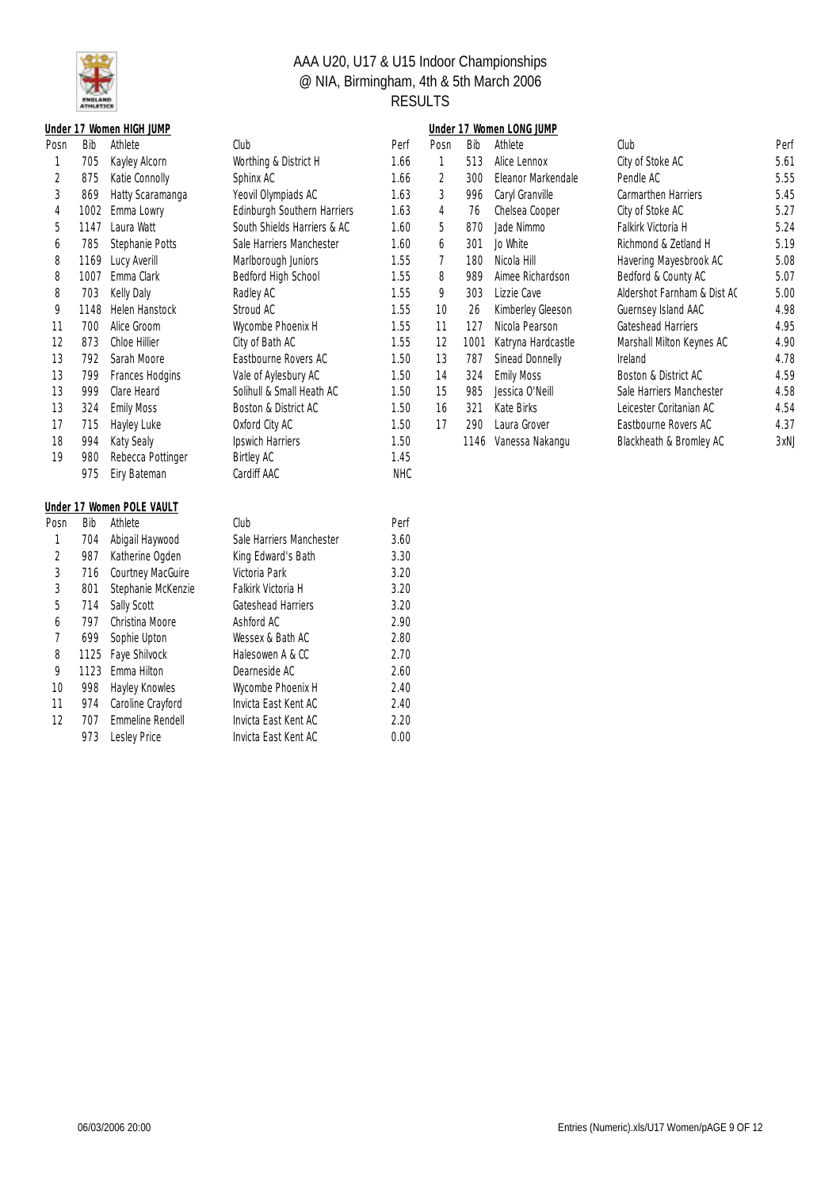

|      |      | <u>Under 17 Women HIGH JUMP</u> |                             |            |                |      | Under 17 Women LONG JUMP |                             |      |
|------|------|---------------------------------|-----------------------------|------------|----------------|------|--------------------------|-----------------------------|------|
| Posn | Bib  | Athlete                         | Club                        | Perf       | Posn           | Bib  | Athlete                  | Club                        | Perf |
| 1    | 705  | Kayley Alcorn                   | Worthing & District H       | 1.66       | 1              | 513  | Alice Lennox             | City of Stoke AC            | 5.61 |
| 2    | 875  | Katie Connolly                  | Sphinx AC                   | 1.66       | $\overline{2}$ | 300  | Eleanor Markendale       | Pendle AC                   | 5.55 |
| 3    | 869  | Hatty Scaramanga                | Yeovil Olympiads AC         | 1.63       | 3              | 996  | Caryl Granville          | Carmarthen Harriers         | 5.45 |
| 4    | 1002 | Emma Lowry                      | Edinburgh Southern Harriers | 1.63       | 4              | 76   | Chelsea Cooper           | City of Stoke AC            | 5.27 |
| 5    | 1147 | Laura Watt                      | South Shields Harriers & AC | 1.60       | 5              | 870  | Jade Nimmo               | Falkirk Victoria H          | 5.24 |
| 6    | 785  | Stephanie Potts                 | Sale Harriers Manchester    | 1.60       | 6              | 301  | Jo White                 | Richmond & Zetland H        | 5.19 |
| 8    | 1169 | Lucy Averill                    | Marlborough Juniors         | 1.55       | 7              | 180  | Nicola Hill              | Havering Mayesbrook AC      | 5.08 |
| 8    | 1007 | Emma Clark                      | Bedford High School         | 1.55       | 8              | 989  | Aimee Richardson         | Bedford & County AC         | 5.07 |
| 8    | 703  | Kelly Daly                      | Radley AC                   | 1.55       | 9              | 303  | Lizzie Cave              | Aldershot Farnham & Dist AC | 5.00 |
| 9    | 1148 | <b>Helen Hanstock</b>           | Stroud AC                   | 1.55       | 10             | 26   | Kimberley Gleeson        | Guernsey Island AAC         | 4.98 |
| 11   | 700  | Alice Groom                     | Wycombe Phoenix H           | 1.55       | 11             | 127  | Nicola Pearson           | Gateshead Harriers          | 4.95 |
| 12   | 873  | Chloe Hillier                   | City of Bath AC             | 1.55       | 12             | 1001 | Katryna Hardcastle       | Marshall Milton Keynes AC   | 4.90 |
| 13   | 792  | Sarah Moore                     | Eastbourne Rovers AC        | 1.50       | 13             | 787  | Sinead Donnelly          | Ireland                     | 4.78 |
| 13   | 799  | Frances Hodgins                 | Vale of Aylesbury AC        | 1.50       | 14             | 324  | <b>Emily Moss</b>        | Boston & District AC        | 4.59 |
| 13   | 999  | Clare Heard                     | Solihull & Small Heath AC   | 1.50       | 15             | 985  | Jessica O'Neill          | Sale Harriers Manchester    | 4.58 |
| 13   | 324  | <b>Emily Moss</b>               | Boston & District AC        | 1.50       | 16             | 321  | Kate Birks               | Leicester Coritanian AC     | 4.54 |
| 17   | 715  | Hayley Luke                     | Oxford City AC              | 1.50       | 17             | 290  | Laura Grover             | Eastbourne Rovers AC        | 4.37 |
| 18   | 994  | Katy Sealy                      | Ipswich Harriers            | 1.50       |                |      | 1146 Vanessa Nakangu     | Blackheath & Bromley AC     | 3xNJ |
| 19   | 980  | Rebecca Pottinger               | <b>Birtley AC</b>           | 1.45       |                |      |                          |                             |      |
|      | 975  | Eiry Bateman                    | Cardiff AAC                 | <b>NHC</b> |                |      |                          |                             |      |
|      |      | Under 17 Women POLE VAULT       |                             |            |                |      |                          |                             |      |
| Posn | Bib  | Athlete                         | Club                        | Perf       |                |      |                          |                             |      |
| 1    | 704  | Abigail Haywood                 | Sale Harriers Manchester    | 3.60       |                |      |                          |                             |      |
| 2    | 987  | Katherine Ogden                 | King Edward's Bath          | 3.30       |                |      |                          |                             |      |
| 3    | 716  | Courtney MacGuire               | Victoria Park               | 3.20       |                |      |                          |                             |      |
| 3    | 801  | Stephanie McKenzie              | Falkirk Victoria H          | 3.20       |                |      |                          |                             |      |
| 5    | 714  | Sally Scott                     | Gateshead Harriers          | 3.20       |                |      |                          |                             |      |
| 6    | 797  | Christina Moore                 | Ashford AC                  | 2.90       |                |      |                          |                             |      |
| 7    | 699  | Sophie Upton                    | Wessex & Bath AC            | 2.80       |                |      |                          |                             |      |
| 8    | 1125 | Faye Shilvock                   | Halesowen A & CC            | 2.70       |                |      |                          |                             |      |
| 9    | 1123 | Emma Hilton                     | Dearneside AC               | 2.60       |                |      |                          |                             |      |
| 10   | 998  | Hayley Knowles                  | Wycombe Phoenix H           | 2.40       |                |      |                          |                             |      |
| 11   | 974  | Caroline Crayford               | Invicta East Kent AC        | 2.40       |                |      |                          |                             |      |
| 12   | 707  | Emmeline Rendell                | Invicta East Kent AC        | 2.20       |                |      |                          |                             |      |

973 Lesley Price

12 707 Emmeline Rendell Invicta East Kent AC 2.20<br>973 Lesley Price Invicta East Kent AC 0.00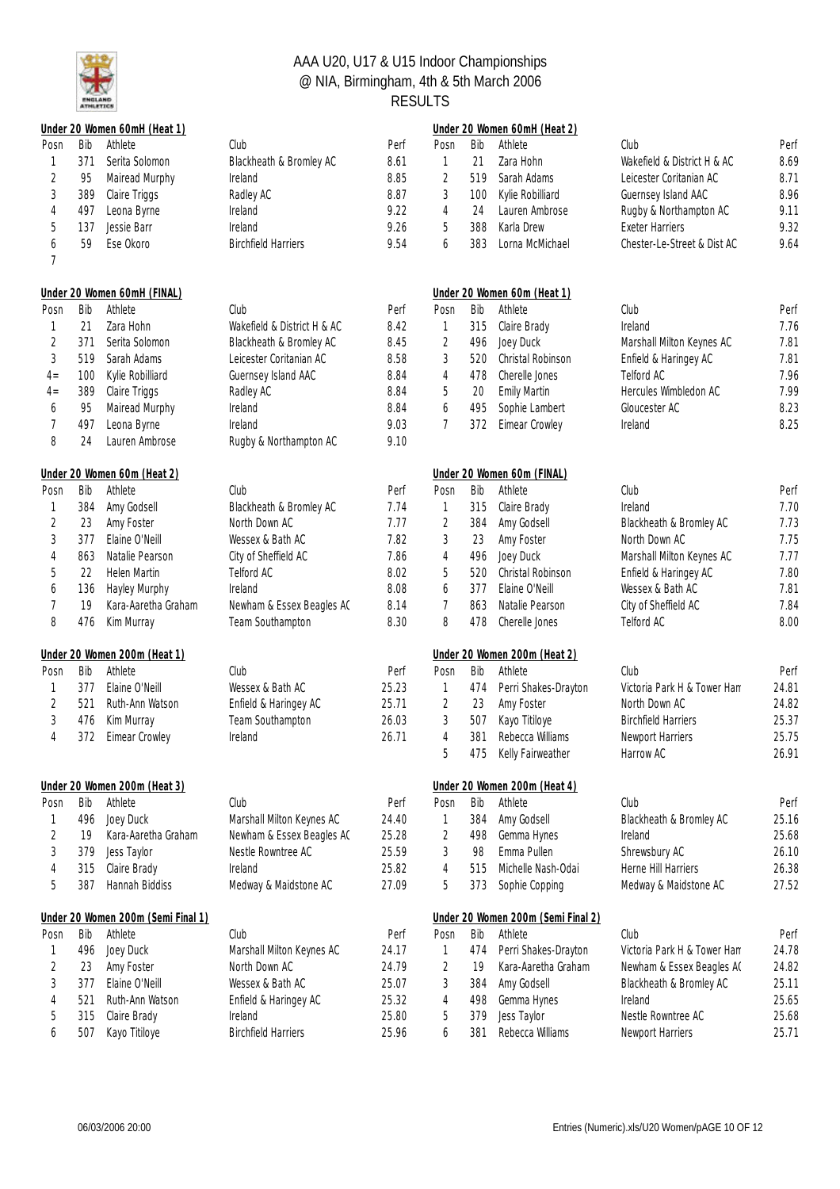

|                |     | Under 20 Women 60mH (Heat 1)       |                             |       |                |     | Under 20 Women 60mH (Heat 2)       |                             |       |
|----------------|-----|------------------------------------|-----------------------------|-------|----------------|-----|------------------------------------|-----------------------------|-------|
| Posn           | Bib | Athlete                            | Club                        | Perf  | Posn           | Bib | Athlete                            | Club                        | Perf  |
| 1              | 371 | Serita Solomon                     | Blackheath & Bromley AC     | 8.61  | 1              | 21  | Zara Hohn                          | Wakefield & District H & AC | 8.69  |
| $\sqrt{2}$     | 95  | Mairead Murphy                     | Ireland                     | 8.85  | $\overline{2}$ | 519 | Sarah Adams                        | Leicester Coritanian AC     | 8.71  |
| 3              | 389 | Claire Triggs                      | Radley AC                   | 8.87  | 3              | 100 | Kylie Robilliard                   | Guernsey Island AAC         | 8.96  |
| 4              | 497 | Leona Byrne                        | Ireland                     | 9.22  | 4              | 24  | Lauren Ambrose                     | Rugby & Northampton AC      | 9.11  |
| 5              | 137 | Jessie Barr                        | Ireland                     | 9.26  | 5              | 388 | Karla Drew                         | <b>Exeter Harriers</b>      | 9.32  |
| 6              | 59  | Ese Okoro                          | <b>Birchfield Harriers</b>  | 9.54  | 6              | 383 | Lorna McMichael                    | Chester-Le-Street & Dist AC | 9.64  |
| 7              |     |                                    |                             |       |                |     |                                    |                             |       |
|                |     | Under 20 Women 60mH (FINAL)        |                             |       |                |     | Under 20 Women 60m (Heat 1)        |                             |       |
| Posn           | Bib | Athlete                            | Club                        | Perf  | Posn           | Bib | Athlete                            | Club                        | Perf  |
|                | 21  | Zara Hohn                          | Wakefield & District H & AC | 8.42  | $\mathbf{1}$   | 315 | Claire Brady                       | Ireland                     | 7.76  |
| $\sqrt{2}$     | 371 | Serita Solomon                     | Blackheath & Bromley AC     | 8.45  | $\overline{2}$ | 496 | Joey Duck                          | Marshall Milton Keynes AC   | 7.81  |
| 3              | 519 | Sarah Adams                        | Leicester Coritanian AC     | 8.58  | 3              | 520 | Christal Robinson                  | Enfield & Haringey AC       | 7.81  |
| $4-$           | 100 | Kylie Robilliard                   | Guernsey Island AAC         | 8.84  | 4              | 478 | Cherelle Jones                     | Telford AC                  | 7.96  |
| $4 =$          | 389 | Claire Triggs                      | Radley AC                   | 8.84  | 5              | 20  | <b>Emily Martin</b>                | Hercules Wimbledon AC       | 7.99  |
| 6              | 95  | Mairead Murphy                     | Ireland                     | 8.84  | 6              | 495 | Sophie Lambert                     | Gloucester AC               | 8.23  |
| 7              | 497 | Leona Byrne                        | Ireland                     | 9.03  | $\overline{7}$ | 372 | Eimear Crowley                     | Ireland                     | 8.25  |
| 8              | 24  | Lauren Ambrose                     | Rugby & Northampton AC      | 9.10  |                |     |                                    |                             |       |
|                |     | Under 20 Women 60m (Heat 2)        |                             |       |                |     | Under 20 Women 60m (FINAL)         |                             |       |
| Posn           | Bib | Athlete                            | Club                        | Perf  | Posn           | Bib | Athlete                            | Club                        | Perf  |
| 1              | 384 | Amy Godsell                        | Blackheath & Bromley AC     | 7.74  | 1              | 315 | Claire Brady                       | Ireland                     | 7.70  |
| $\overline{2}$ | 23  | Amy Foster                         | North Down AC               | 7.77  | 2              | 384 | Amy Godsell                        | Blackheath & Bromley AC     | 7.73  |
| 3              | 377 | Elaine O'Neill                     | Wessex & Bath AC            | 7.82  | 3              | 23  | Amy Foster                         | North Down AC               | 7.75  |
| 4              | 863 | Natalie Pearson                    | City of Sheffield AC        | 7.86  | 4              | 496 | Joey Duck                          | Marshall Milton Keynes AC   | 7.77  |
| 5              | 22  | <b>Helen Martin</b>                | Telford AC                  | 8.02  | 5              | 520 | Christal Robinson                  | Enfield & Haringey AC       | 7.80  |
| 6              | 136 | Hayley Murphy                      | Ireland                     | 8.08  | 6              | 377 | Elaine O'Neill                     | Wessex & Bath AC            | 7.81  |
| 7              | 19  | Kara-Aaretha Graham                | Newham & Essex Beagles AC   | 8.14  | 7              | 863 | Natalie Pearson                    | City of Sheffield AC        | 7.84  |
| 8              | 476 | Kim Murray                         | Team Southampton            | 8.30  | 8              | 478 | Cherelle Jones                     | Telford AC                  | 8.00  |
|                |     | Under 20 Women 200m (Heat 1)       |                             |       |                |     | Under 20 Women 200m (Heat 2)       |                             |       |
| Posn           | Bib | Athlete                            | Club                        | Perf  | Posn           | Bib | Athlete                            | Club                        | Perf  |
| 1              | 377 | Elaine O'Neill                     | Wessex & Bath AC            | 25.23 | 1              | 474 | Perri Shakes-Drayton               | Victoria Park H & Tower Ham | 24.81 |
| 2              | 521 | Ruth-Ann Watson                    | Enfield & Haringey AC       | 25.71 | $\overline{2}$ | 23  | Amy Foster                         | North Down AC               | 24.82 |
| $\sqrt{3}$     | 476 | Kim Murray                         | Team Southampton            | 26.03 | 3              | 507 | Kayo Titiloye                      | <b>Birchfield Harriers</b>  | 25.37 |
| 4              | 372 | Eimear Crowley                     | Ireland                     | 26.71 | $\overline{4}$ | 381 | Rebecca Williams                   | Newport Harriers            | 25.75 |
|                |     |                                    |                             |       | 5              | 475 | Kelly Fairweather                  | Harrow AC                   | 26.91 |
|                |     | Under 20 Women 200m (Heat 3)       |                             |       |                |     | Under 20 Women 200m (Heat 4)       |                             |       |
| Posn           | Bib | Athlete                            | Club                        | Perf  | Posn           | Bib | Athlete                            | Club                        | Perf  |
|                | 496 | Joey Duck                          | Marshall Milton Keynes AC   | 24.40 | 1              | 384 | Amy Godsell                        | Blackheath & Bromley AC     | 25.16 |
| 2              | 19  | Kara-Aaretha Graham                | Newham & Essex Beagles AC   | 25.28 | $\overline{2}$ | 498 | Gemma Hynes                        | Ireland                     | 25.68 |
| 3              | 379 | Jess Taylor                        | Nestle Rowntree AC          | 25.59 | $\mathfrak{Z}$ | 98  | Emma Pullen                        | Shrewsbury AC               | 26.10 |
| 4              | 315 | Claire Brady                       | Ireland                     | 25.82 | 4              | 515 | Michelle Nash-Odai                 | Herne Hill Harriers         | 26.38 |
| 5              | 387 | Hannah Biddiss                     | Medway & Maidstone AC       | 27.09 | 5              | 373 | Sophie Copping                     | Medway & Maidstone AC       | 27.52 |
|                |     | Under 20 Women 200m (Semi Final 1) |                             |       |                |     | Under 20 Women 200m (Semi Final 2) |                             |       |
| Posn           | Bib | Athlete                            | Club                        | Perf  | Posn           | Bib | Athlete                            | Club                        | Perf  |
|                | 496 | Joey Duck                          | Marshall Milton Keynes AC   | 24.17 | 1              | 474 | Perri Shakes-Drayton               | Victoria Park H & Tower Ham | 24.78 |
| $\overline{c}$ | 23  | Amy Foster                         | North Down AC               | 24.79 | $\overline{2}$ | 19  | Kara-Aaretha Graham                | Newham & Essex Beagles AC   | 24.82 |
| 3              | 377 | Elaine O'Neill                     | Wessex & Bath AC            | 25.07 | 3              | 384 | Amy Godsell                        | Blackheath & Bromley AC     | 25.11 |
| 4              | 521 | Ruth-Ann Watson                    | Enfield & Haringey AC       | 25.32 | 4              | 498 | Gemma Hynes                        | Ireland                     | 25.65 |
| 5              | 315 | Claire Brady                       | Ireland                     | 25.80 | 5              | 379 | Jess Taylor                        | Nestle Rowntree AC          | 25.68 |
| 6              | 507 | Kayo Titiloye                      | <b>Birchfield Harriers</b>  | 25.96 | 6              | 381 | Rebecca Williams                   | Newport Harriers            | 25.71 |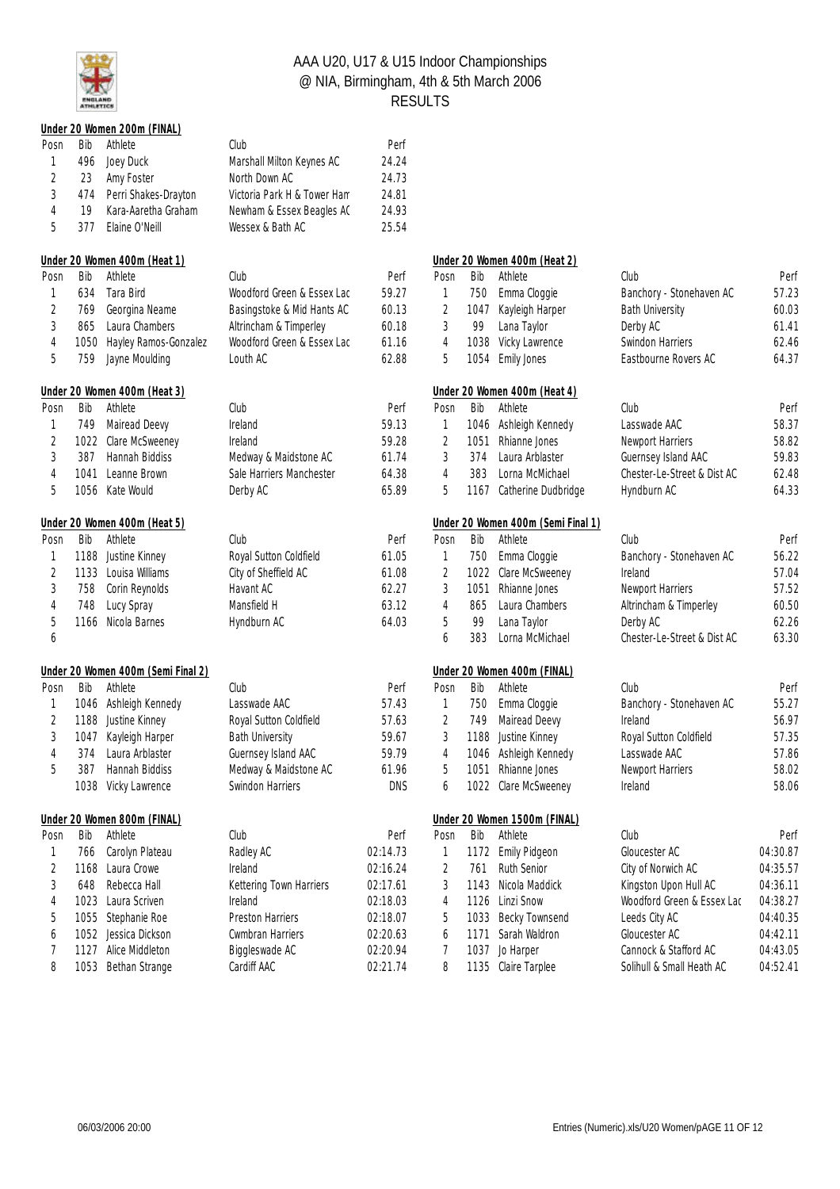

|                |      | Under 20 Women 200m (FINAL)        |                             |            |                |      |                                    |                             |          |
|----------------|------|------------------------------------|-----------------------------|------------|----------------|------|------------------------------------|-----------------------------|----------|
| Posn           | Bib  | Athlete                            | Club                        | Perf       |                |      |                                    |                             |          |
| 1              | 496  | Joey Duck                          | Marshall Milton Keynes AC   | 24.24      |                |      |                                    |                             |          |
| $\overline{2}$ | 23   | Amy Foster                         | North Down AC               | 24.73      |                |      |                                    |                             |          |
| 3              | 474  | Perri Shakes-Drayton               | Victoria Park H & Tower Ham | 24.81      |                |      |                                    |                             |          |
| 4              | 19   | Kara-Aaretha Graham                | Newham & Essex Beagles AC   | 24.93      |                |      |                                    |                             |          |
| 5              | 377  | Elaine O'Neill                     | Wessex & Bath AC            | 25.54      |                |      |                                    |                             |          |
|                |      | Under 20 Women 400m (Heat 1)       |                             |            |                |      | Under 20 Women 400m (Heat 2)       |                             |          |
| Posn           | Bib  | Athlete                            | Club                        | Perf       | Posn           | Bib  | Athlete                            | Club                        | Perf     |
| 1              | 634  | Tara Bird                          | Woodford Green & Essex Lac  | 59.27      | 1              | 750  | Emma Cloggie                       | Banchory - Stonehaven AC    | 57.23    |
| 2              | 769  | Georgina Neame                     | Basingstoke & Mid Hants AC  | 60.13      | 2              | 1047 | Kayleigh Harper                    | <b>Bath University</b>      | 60.03    |
| $\sqrt{3}$     | 865  | Laura Chambers                     | Altrincham & Timperley      | 60.18      | 3              | 99   | Lana Taylor                        | Derby AC                    | 61.41    |
| 4              |      | 1050 Hayley Ramos-Gonzalez         | Woodford Green & Essex Lac  | 61.16      | $\overline{4}$ | 1038 | Vicky Lawrence                     | Swindon Harriers            | 62.46    |
| 5              | 759  | Jayne Moulding                     | Louth AC                    | 62.88      | 5              | 1054 | Emily Jones                        | Eastbourne Rovers AC        | 64.37    |
|                |      | Under 20 Women 400m (Heat 3)       |                             |            |                |      | Under 20 Women 400m (Heat 4)       |                             |          |
| Posn           | Bib  | Athlete                            | Club                        | Perf       | Posn           | Bib  | Athlete                            | Club                        | Perf     |
| 1              | 749  | Mairead Deevy                      | Ireland                     | 59.13      | 1              |      | 1046 Ashleigh Kennedy              | Lasswade AAC                | 58.37    |
| 2              |      | 1022 Clare McSweeney               | Ireland                     | 59.28      | 2              | 1051 | Rhianne Jones                      | Newport Harriers            | 58.82    |
| 3              | 387  | Hannah Biddiss                     | Medway & Maidstone AC       | 61.74      | 3              | 374  | Laura Arblaster                    | Guernsey Island AAC         | 59.83    |
| 4              | 1041 | Leanne Brown                       | Sale Harriers Manchester    | 64.38      | 4              | 383  | Lorna McMichael                    | Chester-Le-Street & Dist AC | 62.48    |
| 5              |      | 1056 Kate Would                    | Derby AC                    | 65.89      | 5              | 1167 | Catherine Dudbridge                | Hyndburn AC                 | 64.33    |
|                |      | Under 20 Women 400m (Heat 5)       |                             |            |                |      | Under 20 Women 400m (Semi Final 1) |                             |          |
| Posn           | Bib  | Athlete                            | Club                        | Perf       | Posn           | Bib  | Athlete                            | Club                        | Perf     |
| 1              |      | 1188 Justine Kinney                | Royal Sutton Coldfield      | 61.05      | 1              | 750  | Emma Cloggie                       | Banchory - Stonehaven AC    | 56.22    |
| $\overline{2}$ |      | 1133 Louisa Williams               | City of Sheffield AC        | 61.08      | 2              | 1022 | Clare McSweeney                    | Ireland                     | 57.04    |
| 3              | 758  | Corin Reynolds                     | Havant AC                   | 62.27      | 3              | 1051 | Rhianne Jones                      | Newport Harriers            | 57.52    |
| 4              | 748  | Lucy Spray                         | Mansfield H                 | 63.12      | 4              | 865  | Laura Chambers                     | Altrincham & Timperley      | 60.50    |
| 5              |      | 1166 Nicola Barnes                 | Hyndburn AC                 | 64.03      | 5              | 99   | Lana Taylor                        | Derby AC                    | 62.26    |
| 6              |      |                                    |                             |            | 6              | 383  | Lorna McMichael                    | Chester-Le-Street & Dist AC | 63.30    |
|                |      | Under 20 Women 400m (Semi Final 2) |                             |            |                |      | Under 20 Women 400m (FINAL)        |                             |          |
| Posn           | Bib  | Athlete                            | Club                        | Perf       | Posn           | Bib  | Athlete                            | Club                        | Perf     |
| 1              |      | 1046 Ashleigh Kennedy              | Lasswade AAC                | 57.43      | 1              | 750  | Emma Cloggie                       | Banchory - Stonehaven AC    | 55.27    |
| $\overline{2}$ |      | 1188 Justine Kinney                | Royal Sutton Coldfield      | 57.63      | $\overline{2}$ | 749  | Mairead Deevy                      | Ireland                     | 56.97    |
| 3              |      | 1047 Kayleigh Harper               | <b>Bath University</b>      | 59.67      | 3              |      | 1188 Justine Kinney                | Royal Sutton Coldfield      | 57.35    |
| 4              |      | 374 Laura Arblaster                | Guernsey Island AAC         | 59.79      | 4              |      | 1046 Ashleigh Kennedy              | Lasswade AAC                | 57.86    |
| 5              | 387  | Hannah Biddiss                     | Medway & Maidstone AC       | 61.96      | 5              |      | 1051 Rhianne Jones                 | Newport Harriers            | 58.02    |
|                |      | 1038 Vicky Lawrence                | Swindon Harriers            | <b>DNS</b> | 6              |      | 1022 Clare McSweeney               | Ireland                     | 58.06    |
|                |      | Under 20 Women 800m (FINAL)        |                             |            |                |      | Under 20 Women 1500m (FINAL)       |                             |          |
| Posn           | Bib  | Athlete                            | Club                        | Perf       | Posn           | Bib  | Athlete                            | Club                        | Perf     |
| 1              | 766  | Carolyn Plateau                    | Radley AC                   | 02:14.73   | 1              |      | 1172 Emily Pidgeon                 | Gloucester AC               | 04:30.87 |
| 2              |      | 1168 Laura Crowe                   | Ireland                     | 02:16.24   | 2              | 761  | Ruth Senior                        | City of Norwich AC          | 04:35.57 |
| 3              | 648  | Rebecca Hall                       | Kettering Town Harriers     | 02:17.61   | 3              |      | 1143 Nicola Maddick                | Kingston Upon Hull AC       | 04:36.11 |
| 4              |      | 1023 Laura Scriven                 | Ireland                     | 02:18.03   | 4              |      | 1126 Linzi Snow                    | Woodford Green & Essex Lac  | 04:38.27 |
| 5              | 1055 | Stephanie Roe                      | Preston Harriers            | 02:18.07   | 5              | 1033 | Becky Townsend                     | Leeds City AC               | 04:40.35 |
| 6              | 1052 | Jessica Dickson                    | Cwmbran Harriers            | 02:20.63   | 6              | 1171 | Sarah Waldron                      | Gloucester AC               | 04:42.11 |
| 7              | 1127 | Alice Middleton                    | Biggleswade AC              | 02:20.94   | 7              | 1037 | Jo Harper                          | Cannock & Stafford AC       | 04:43.05 |
| 8              |      | 1053 Bethan Strange                | Cardiff AAC                 | 02:21.74   | 8              |      | 1135 Claire Tarplee                | Solihull & Small Heath AC   | 04:52.41 |